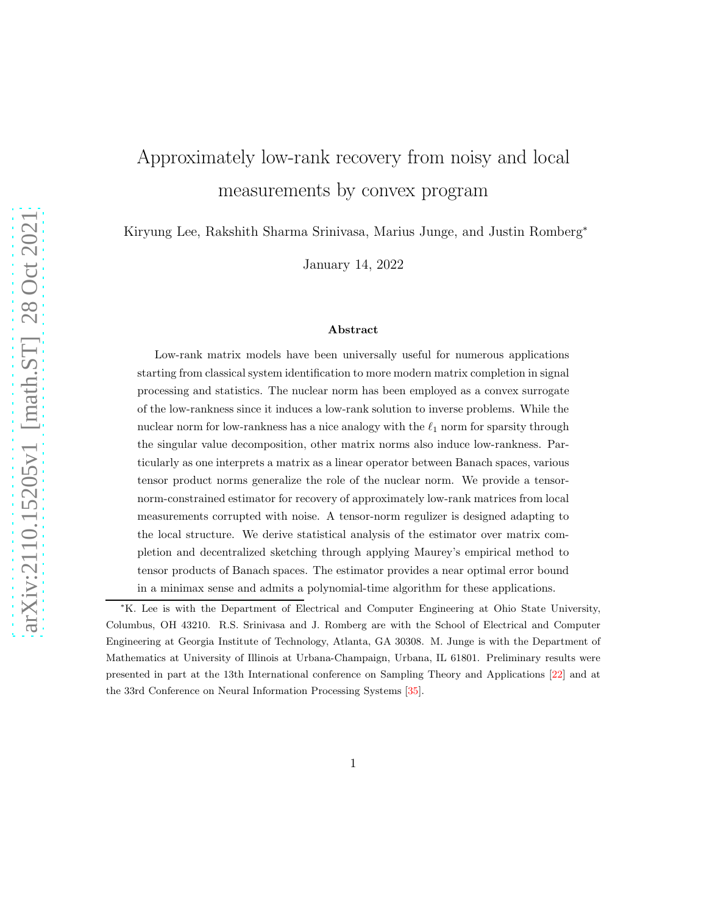# Approximately low-rank recovery from noisy and local measurements by convex program

Kiryung Lee, Rakshith Sharma Srinivasa, Marius Junge, and Justin Romberg<sup>∗</sup>

January 14, 2022

#### Abstract

Low-rank matrix models have been universally useful for numerous applications starting from classical system identification to more modern matrix completion in signal processing and statistics. The nuclear norm has been employed as a convex surrogate of the low-rankness since it induces a low-rank solution to inverse problems. While the nuclear norm for low-rankness has a nice analogy with the  $\ell_1$  norm for sparsity through the singular value decomposition, other matrix norms also induce low-rankness. Particularly as one interprets a matrix as a linear operator between Banach spaces, various tensor product norms generalize the role of the nuclear norm. We provide a tensornorm-constrained estimator for recovery of approximately low-rank matrices from local measurements corrupted with noise. A tensor-norm regulizer is designed adapting to the local structure. We derive statistical analysis of the estimator over matrix completion and decentralized sketching through applying Maurey's empirical method to tensor products of Banach spaces. The estimator provides a near optimal error bound in a minimax sense and admits a polynomial-time algorithm for these applications.

<sup>∗</sup>K. Lee is with the Department of Electrical and Computer Engineering at Ohio State University, Columbus, OH 43210. R.S. Srinivasa and J. Romberg are with the School of Electrical and Computer Engineering at Georgia Institute of Technology, Atlanta, GA 30308. M. Junge is with the Department of Mathematics at University of Illinois at Urbana-Champaign, Urbana, IL 61801. Preliminary results were presented in part at the 13th International conference on Sampling Theory and Applications [\[22](#page-36-0)] and at the 33rd Conference on Neural Information Processing Systems [\[35](#page-37-0)].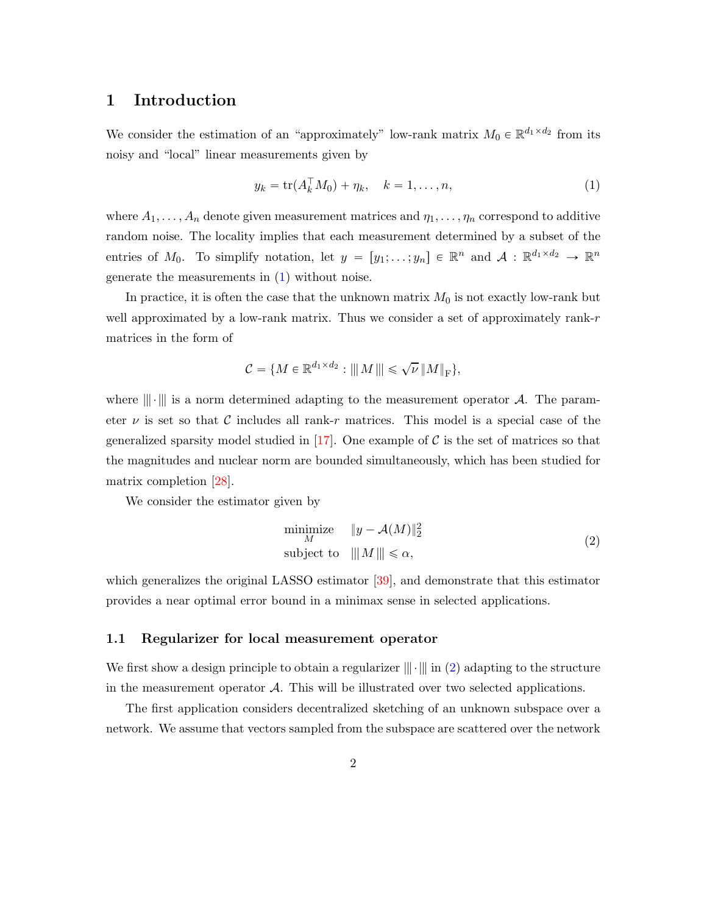## 1 Introduction

We consider the estimation of an "approximately" low-rank matrix  $M_0 \in \mathbb{R}^{d_1 \times d_2}$  from its noisy and "local" linear measurements given by

<span id="page-1-0"></span>
$$
y_k = \text{tr}(A_k^{\top} M_0) + \eta_k, \quad k = 1, \dots, n,
$$
 (1)

where  $A_1, \ldots, A_n$  denote given measurement matrices and  $\eta_1, \ldots, \eta_n$  correspond to additive random noise. The locality implies that each measurement determined by a subset of the entries of  $M_0$ . To simplify notation, let  $y = [y_1; \dots; y_n] \in \mathbb{R}^n$  and  $A : \mathbb{R}^{d_1 \times d_2} \to \mathbb{R}^n$ generate the measurements in  $(1)$  without noise.

In practice, it is often the case that the unknown matrix  $M_0$  is not exactly low-rank but well approximated by a low-rank matrix. Thus we consider a set of approximately rank-r matrices in the form of

$$
\mathcal{C} = \{M \in \mathbb{R}^{d_1 \times d_2} : |||M||| \leq \sqrt{\nu} ||M||_{\text{F}}\},\
$$

where  $\|\cdot\|$  is a norm determined adapting to the measurement operator A. The parameter  $\nu$  is set so that C includes all rank-r matrices. This model is a special case of the generalized sparsity model studied in  $[17]$ . One example of C is the set of matrices so that the magnitudes and nuclear norm are bounded simultaneously, which has been studied for matrix completion [\[28](#page-36-1)].

We consider the estimator given by

<span id="page-1-1"></span>
$$
\begin{array}{ll}\n\text{minimize} & \|y - \mathcal{A}(M)\|_2^2 \\
\text{subject to} & \| \|M\| \le \alpha,\n\end{array} \tag{2}
$$

which generalizes the original LASSO estimator [\[39](#page-37-1)], and demonstrate that this estimator provides a near optimal error bound in a minimax sense in selected applications.

#### 1.1 Regularizer for local measurement operator

We first show a design principle to obtain a regularizer  $\|\cdot\|$  in [\(2\)](#page-1-1) adapting to the structure in the measurement operator A. This will be illustrated over two selected applications.

The first application considers decentralized sketching of an unknown subspace over a network. We assume that vectors sampled from the subspace are scattered over the network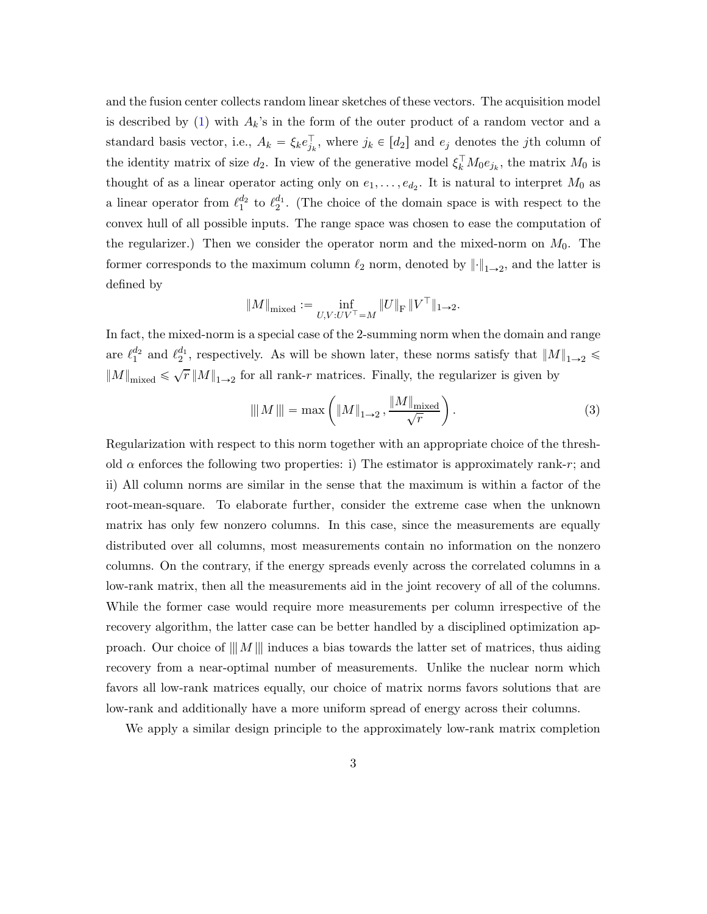and the fusion center collects random linear sketches of these vectors. The acquisition model is described by [\(1\)](#page-1-0) with  $A_k$ 's in the form of the outer product of a random vector and a standard basis vector, i.e.,  $A_k = \xi_k e_{j_k}^{\dagger}$ , where  $j_k \in [d_2]$  and  $e_j$  denotes the jth column of the identity matrix of size  $d_2$ . In view of the generative model  $\xi_k^{\dagger} M_0 e_{j_k}$ , the matrix  $M_0$  is thought of as a linear operator acting only on  $e_1, \ldots, e_{d_2}$ . It is natural to interpret  $M_0$  as a linear operator from  $\ell_1^{d_2}$  $_1^{d_2}$  to  $\ell_2^{d_1}$  $_2^{a_1}$ . (The choice of the domain space is with respect to the convex hull of all possible inputs. The range space was chosen to ease the computation of the regularizer.) Then we consider the operator norm and the mixed-norm on  $M_0$ . The former corresponds to the maximum column  $\ell_2$  norm, denoted by  $\lVert \cdot \rVert_{1\to 2}$ , and the latter is defined by

$$
\|M\|_{\text{mixed}}:=\inf\limits_{U,V:UV^\top=M}\|U\|_{\text{F}}\,\|V^\top\|_{1\to 2}.
$$

In fact, the mixed-norm is a special case of the 2-summing norm when the domain and range are  $\ell_1^{d_2}$  $\frac{d_2}{1}$  and  $\ell_2^{d_1}$  $_2^{a_1}$ , respectively. As will be shown later, these norms satisfy that  $||M||_{1\rightarrow 2} \leq$  $||M||_{\text{mixed}} \leq \sqrt{r} ||M||_{1\rightarrow 2}$  for all rank-r matrices. Finally, the regularizer is given by

<span id="page-2-0"></span>
$$
\|M\| = \max\left( \|M\|_{1\to 2}, \frac{\|M\|_{\text{mixed}}}{\sqrt{r}} \right).
$$
 (3)

Regularization with respect to this norm together with an appropriate choice of the threshold  $\alpha$  enforces the following two properties: i) The estimator is approximately rank-r; and ii) All column norms are similar in the sense that the maximum is within a factor of the root-mean-square. To elaborate further, consider the extreme case when the unknown matrix has only few nonzero columns. In this case, since the measurements are equally distributed over all columns, most measurements contain no information on the nonzero columns. On the contrary, if the energy spreads evenly across the correlated columns in a low-rank matrix, then all the measurements aid in the joint recovery of all of the columns. While the former case would require more measurements per column irrespective of the recovery algorithm, the latter case can be better handled by a disciplined optimization approach. Our choice of  $||M||$  induces a bias towards the latter set of matrices, thus aiding recovery from a near-optimal number of measurements. Unlike the nuclear norm which favors all low-rank matrices equally, our choice of matrix norms favors solutions that are low-rank and additionally have a more uniform spread of energy across their columns.

We apply a similar design principle to the approximately low-rank matrix completion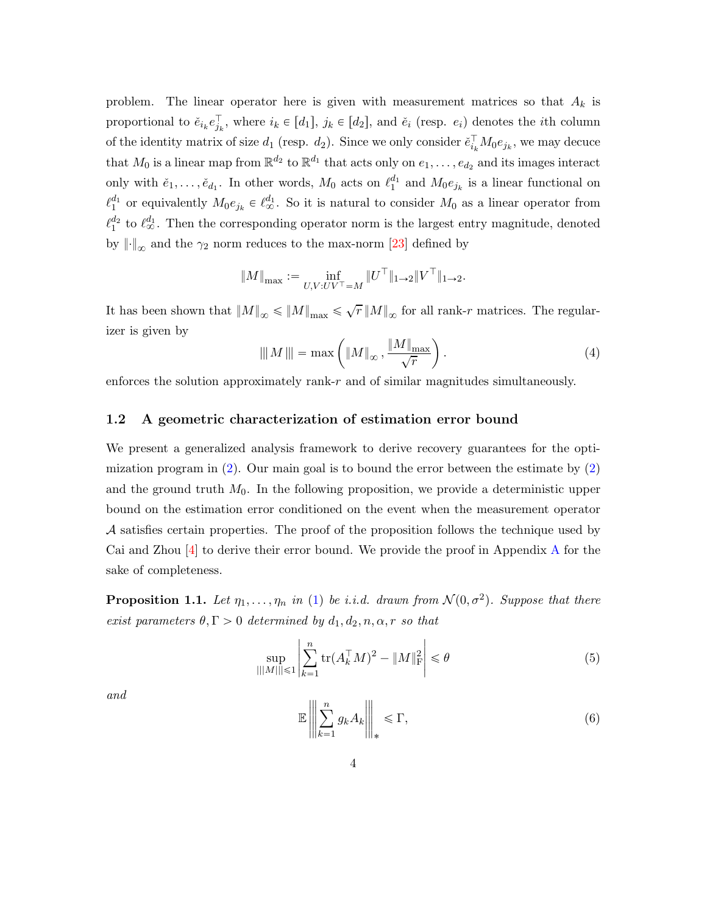problem. The linear operator here is given with measurement matrices so that  $A_k$  is proportional to  $\check{e}_{i_k}e_{j_k}^{\dagger}$ , where  $i_k \in [d_1]$ ,  $j_k \in [d_2]$ , and  $\check{e}_i$  (resp.  $e_i$ ) denotes the *i*th column of the identity matrix of size  $d_1$  (resp.  $d_2$ ). Since we only consider  $\check{e}_{i_k}^{\dagger} M_0 e_{j_k}$ , we may decuce that  $M_0$  is a linear map from  $\mathbb{R}^{d_2}$  to  $\mathbb{R}^{d_1}$  that acts only on  $e_1, \ldots, e_{d_2}$  and its images interact only with  $\check{e}_1, \ldots, \check{e}_{d_1}$ . In other words,  $M_0$  acts on  $\ell_1^{d_1}$  $_{1}^{a_{1}}$  and  $M_{0}e_{j_{k}}$  is a linear functional on  $\ell_1^{d_1}$  $_1^{d_1}$  or equivalently  $M_0e_{j_k} \in \ell_{\infty}^{d_1}$ . So it is natural to consider  $M_0$  as a linear operator from  $\ell_1^{d_2}$  $\frac{d_2}{1}$  to  $\ell_{\infty}^{d_1}$ . Then the corresponding operator norm is the largest entry magnitude, denoted by  $\left\| \cdot \right\|_{\infty}$  and the  $\gamma_2$  norm reduces to the max-norm [\[23](#page-36-2)] defined by

<span id="page-3-3"></span>
$$
\|M\|_{\max}:=\inf_{U,V:UV^\top=M}\|U^\top\|_{1\to 2}\|V^\top\|_{1\to 2}.
$$

It has been shown that  $||M||_{\infty} \le ||M||_{\max} \le \sqrt{r} ||M||_{\infty}$  for all rank-r matrices. The regularizer is given by

$$
\|\|M\|\| = \max\left(\|M\|_{\infty}, \frac{\|M\|_{\max}}{\sqrt{r}}\right). \tag{4}
$$

enforces the solution approximately rank-r and of similar magnitudes simultaneously.

#### 1.2 A geometric characterization of estimation error bound

We present a generalized analysis framework to derive recovery guarantees for the optimization program in  $(2)$ . Our main goal is to bound the error between the estimate by  $(2)$ and the ground truth  $M_0$ . In the following proposition, we provide a deterministic upper bound on the estimation error conditioned on the event when the measurement operator A satisfies certain properties. The proof of the proposition follows the technique used by Cai and Zhou [\[4\]](#page-34-0) to derive their error bound. We provide the proof in Appendix [A](#page-32-0) for the sake of completeness.

<span id="page-3-2"></span>**Proposition 1.1.** Let  $\eta_1, \ldots, \eta_n$  in [\(1\)](#page-1-0) be *i.i.d.* drawn from  $\mathcal{N}(0, \sigma^2)$ . Suppose that there *exist parameters*  $\theta, \Gamma > 0$  *determined by*  $d_1, d_2, n, \alpha, r$  *so that* 

$$
\sup_{|||M|| \le 1} \left| \sum_{k=1}^{n} \text{tr}(A_k^{\top} M)^2 - \|M\|_{\text{F}}^2 \right| \le \theta \tag{5}
$$

<span id="page-3-1"></span>*and*

<span id="page-3-0"></span>
$$
\mathbb{E}\left\|\left\|\sum_{k=1}^{n} g_k A_k\right\|\right\|_* \leqslant \Gamma,\tag{6}
$$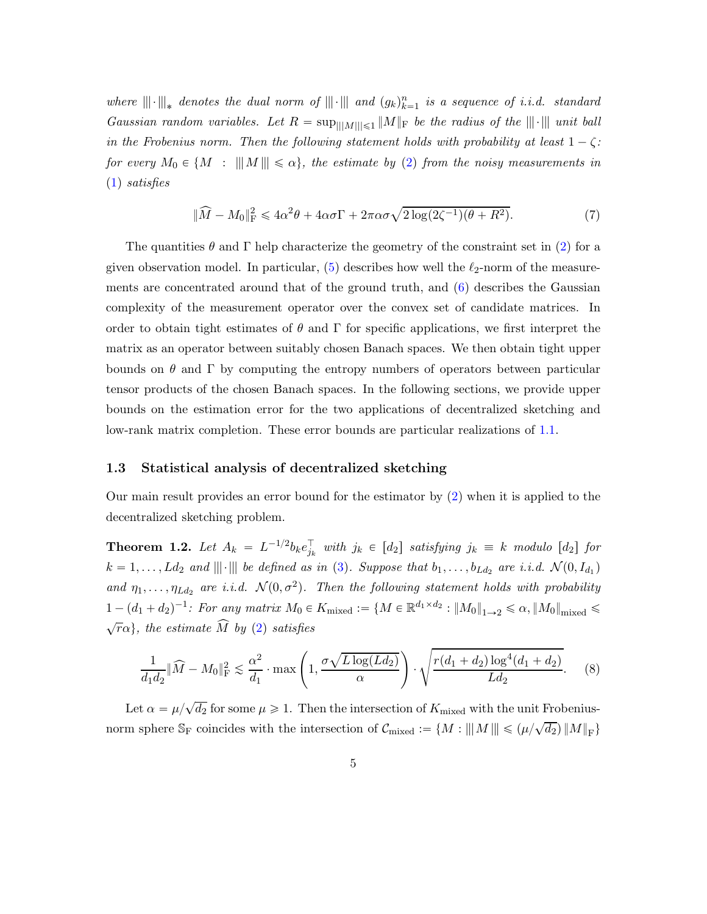where  $\|\|\cdot\|\|_*$  denotes the dual norm of  $\|\|\cdot\|\|$  and  $(g_k)_{k=1}^n$  is a sequence of *i.i.d.* standard *Gaussian random variables. Let*  $R = \sup_{\vert \vert \vert M \vert \vert \leq 1} \Vert M \Vert_F$  *be the radius of the*  $\Vert \Vert \cdot \Vert \Vert$  *unit ball in the Frobenius norm. Then the following statement holds with probability at least*  $1 - \zeta$ *: for every*  $M_0 \in \{M : |||M|| \le \alpha\}$ , the estimate by [\(2\)](#page-1-1) from the noisy measurements in [\(1\)](#page-1-0) *satisfies*

$$
\|\widehat{M} - M_0\|_{\mathrm{F}}^2 \le 4\alpha^2 \theta + 4\alpha \sigma \Gamma + 2\pi \alpha \sigma \sqrt{2\log(2\zeta^{-1})(\theta + R^2)}.
$$
\n(7)

The quantities  $\theta$  and  $\Gamma$  help characterize the geometry of the constraint set in [\(2\)](#page-1-1) for a given observation model. In particular,  $(5)$  describes how well the  $\ell_2$ -norm of the measurements are concentrated around that of the ground truth, and [\(6\)](#page-3-1) describes the Gaussian complexity of the measurement operator over the convex set of candidate matrices. In order to obtain tight estimates of  $\theta$  and  $\Gamma$  for specific applications, we first interpret the matrix as an operator between suitably chosen Banach spaces. We then obtain tight upper bounds on  $\theta$  and  $\Gamma$  by computing the entropy numbers of operators between particular tensor products of the chosen Banach spaces. In the following sections, we provide upper bounds on the estimation error for the two applications of decentralized sketching and low-rank matrix completion. These error bounds are particular realizations of [1.1.](#page-3-2)

#### 1.3 Statistical analysis of decentralized sketching

Our main result provides an error bound for the estimator by [\(2\)](#page-1-1) when it is applied to the decentralized sketching problem.

<span id="page-4-1"></span>**Theorem 1.2.** Let  $A_k = L^{-1/2} b_k e_{j_k}^{\top}$  with  $j_k \in [d_2]$  satisfying  $j_k \equiv k$  modulo  $[d_2]$  for  $k = 1, \ldots, Ld_2$  and  $\|\|\cdot\|\|$  be defined as in [\(3\)](#page-2-0). Suppose that  $b_1, \ldots, b_{Ld_2}$  are i.i.d.  $\mathcal{N}(0, I_{d_1})$ and  $\eta_1, \ldots, \eta_{Ld_2}$  are *i.i.d.*  $\mathcal{N}(0, \sigma^2)$ . Then the following statement holds with probability  $1 - (d_1 + d_2)^{-1}$ : For any matrix  $M_0 \in K_{\text{mixed}} := \{ M \in \mathbb{R}^{d_1 \times d_2} : ||M_0||_{1 \to 2} \leq \alpha, ||M_0||_{\text{mixed}} \leq$  $\sqrt{r}\alpha$ , the estimate  $\widehat{M}$  by [\(2\)](#page-1-1) satisfies

<span id="page-4-0"></span>
$$
\frac{1}{d_1 d_2} \|\widehat{M} - M_0\|_{\rm F}^2 \lesssim \frac{\alpha^2}{d_1} \cdot \max\left(1, \frac{\sigma \sqrt{L \log(L d_2)}}{\alpha}\right) \cdot \sqrt{\frac{r(d_1 + d_2) \log^4(d_1 + d_2)}{L d_2}}.\tag{8}
$$

Let  $\alpha = \mu/\sqrt{d_2}$  for some  $\mu \geq 1$ . Then the intersection of  $K_{\text{mixed}}$  with the unit Frobeniusnorm sphere  $\mathbb{S}_{\mathrm{F}}$  coincides with the intersection of  $\mathcal{C}_{\mathrm{mixed}} := \{M : |||M||| \leq (\mu/\sqrt{d_2}) ||M||_{\mathrm{F}}\}$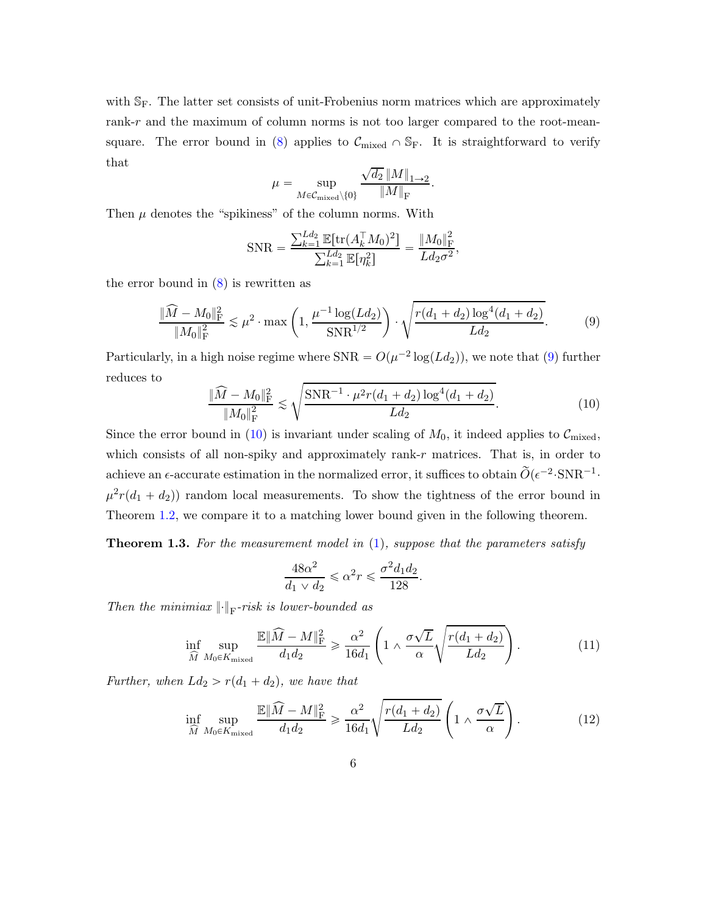with  $\mathbb{S}_F$ . The latter set consists of unit-Frobenius norm matrices which are approximately rank-r and the maximum of column norms is not too larger compared to the root-mean-square. The error bound in [\(8\)](#page-4-0) applies to  $\mathcal{C}_{mixed} \cap \mathbb{S}_F$ . It is straightforward to verify that  $\cdot$  /

$$
\mu = \sup_{M \in \mathcal{C}_{\text{mixed}} \setminus \{0\}} \frac{\sqrt{d_2} \, \|M\|_{1 \to 2}}{\|M\|_{\text{F}}}.
$$

Then  $\mu$  denotes the "spikiness" of the column norms. With

<span id="page-5-0"></span>
$$
SNR = \frac{\sum_{k=1}^{Ld_2} \mathbb{E}[\text{tr}(A_k^\top M_0)^2]}{\sum_{k=1}^{Ld_2} \mathbb{E}[\eta_k^2]} = \frac{\|M_0\|_{\text{F}}^2}{Ld_2\sigma^2},
$$

the error bound in  $(8)$  is rewritten as

$$
\frac{\|\widehat{M} - M_0\|_{\rm F}^2}{\|M_0\|_{\rm F}^2} \lesssim \mu^2 \cdot \max\left(1, \frac{\mu^{-1}\log(Ld_2)}{\rm SNR}^{1/2}\right) \cdot \sqrt{\frac{r(d_1 + d_2)\log^4(d_1 + d_2)}{Ld_2}}.\tag{9}
$$

Particularly, in a high noise regime where  $SNR = O(\mu^{-2} \log(Ld_2))$ , we note that [\(9\)](#page-5-0) further reduces to

<span id="page-5-1"></span>
$$
\frac{\|\widehat{M} - M_0\|_{\rm F}^2}{\|M_0\|_{\rm F}^2} \lesssim \sqrt{\frac{\text{SNR}^{-1} \cdot \mu^2 r(d_1 + d_2) \log^4(d_1 + d_2)}{Ld_2}}.
$$
\n(10)

Since the error bound in [\(10\)](#page-5-1) is invariant under scaling of  $M_0$ , it indeed applies to  $\mathcal{C}_{\text{mixed}}$ , which consists of all non-spiky and approximately rank- $r$  matrices. That is, in order to achieve an  $\epsilon$ -accurate estimation in the normalized error, it suffices to obtain  $\tilde{O}(\epsilon^{-2} \cdot SNR^{-1} \cdot$  $\mu^2 r(d_1 + d_2)$  random local measurements. To show the tightness of the error bound in Theorem [1.2,](#page-4-1) we compare it to a matching lower bound given in the following theorem.

<span id="page-5-3"></span>Theorem 1.3. *For the measurement model in* [\(1\)](#page-1-0)*, suppose that the parameters satisfy*

<span id="page-5-2"></span>
$$
\frac{48\alpha^2}{d_1 \vee d_2} \leqslant \alpha^2 r \leqslant \frac{\sigma^2 d_1 d_2}{128}.
$$

*Then the minimiax*  $\left\| \cdot \right\|_{\text{F}}$ -risk is lower-bounded as

$$
\inf_{\widehat{M}} \sup_{M_0 \in K_{\text{mixed}}} \frac{\mathbb{E} \|\widehat{M} - M\|_{\mathrm{F}}^2}{d_1 d_2} \ge \frac{\alpha^2}{16 d_1} \left( 1 \wedge \frac{\sigma \sqrt{L}}{\alpha} \sqrt{\frac{r(d_1 + d_2)}{L d_2}} \right). \tag{11}
$$

*Further, when*  $Ld_2 > r(d_1 + d_2)$ *, we have that* 

$$
\inf_{\widehat{M}} \sup_{M_0 \in K_{\text{mixed}}} \frac{\mathbb{E} \|\widehat{M} - M\|_{\mathrm{F}}^2}{d_1 d_2} \geq \frac{\alpha^2}{16 d_1} \sqrt{\frac{r(d_1 + d_2)}{L d_2}} \left(1 \wedge \frac{\sigma \sqrt{L}}{\alpha}\right). \tag{12}
$$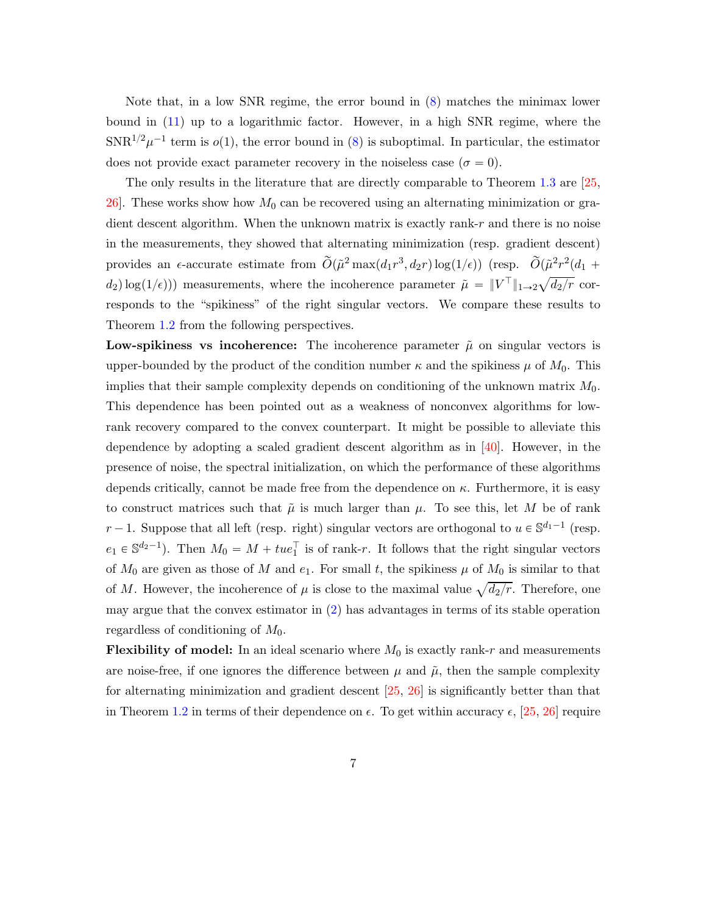Note that, in a low SNR regime, the error bound in [\(8\)](#page-4-0) matches the minimax lower bound in [\(11\)](#page-5-2) up to a logarithmic factor. However, in a high SNR regime, where the  $SNR^{1/2}\mu^{-1}$  term is  $o(1)$ , the error bound in [\(8\)](#page-4-0) is suboptimal. In particular, the estimator does not provide exact parameter recovery in the noiseless case ( $\sigma = 0$ ).

The only results in the literature that are directly comparable to Theorem [1.3](#page-5-3) are [\[25](#page-36-3), 26. These works show how  $M_0$  can be recovered using an alternating minimization or gradient descent algorithm. When the unknown matrix is exactly rank-r and there is no noise in the measurements, they showed that alternating minimization (resp. gradient descent) provides an  $\epsilon$ -accurate estimate from  $\tilde{O}(\tilde{\mu}^2 \max(d_1 r^3, d_2 r) \log(1/\epsilon))$  (resp.  $\tilde{O}(\tilde{\mu}^2 r^2(d_1 +$  $d_2$ )  $\log(1/\epsilon)$ ) measurements, where the incoherence parameter  $\tilde{\mu} = ||V^{\top}||_{1 \to 2} \sqrt{d_2/r}$  corresponds to the "spikiness" of the right singular vectors. We compare these results to Theorem [1.2](#page-4-1) from the following perspectives.

Low-spikiness vs incoherence: The incoherence parameter  $\tilde{\mu}$  on singular vectors is upper-bounded by the product of the condition number  $\kappa$  and the spikiness  $\mu$  of  $M_0$ . This implies that their sample complexity depends on conditioning of the unknown matrix  $M_0$ . This dependence has been pointed out as a weakness of nonconvex algorithms for lowrank recovery compared to the convex counterpart. It might be possible to alleviate this dependence by adopting a scaled gradient descent algorithm as in [\[40](#page-37-2)]. However, in the presence of noise, the spectral initialization, on which the performance of these algorithms depends critically, cannot be made free from the dependence on  $\kappa$ . Furthermore, it is easy to construct matrices such that  $\tilde{\mu}$  is much larger than  $\mu$ . To see this, let M be of rank  $r-1$ . Suppose that all left (resp. right) singular vectors are orthogonal to  $u \in \mathbb{S}^{d_1-1}$  (resp.  $e_1 \in \mathbb{S}^{d_2-1}$ ). Then  $M_0 = M + tue_1^{\top}$  is of rank-r. It follows that the right singular vectors of  $M_0$  are given as those of M and  $e_1$ . For small t, the spikiness  $\mu$  of  $M_0$  is similar to that of M. However, the incoherence of  $\mu$  is close to the maximal value  $\sqrt{d_2/r}$ . Therefore, one may argue that the convex estimator in [\(2\)](#page-1-1) has advantages in terms of its stable operation regardless of conditioning of  $M_0$ .

**Flexibility of model:** In an ideal scenario where  $M_0$  is exactly rank-r and measurements are noise-free, if one ignores the difference between  $\mu$  and  $\tilde{\mu}$ , then the sample complexity for alternating minimization and gradient descent [\[25](#page-36-3), [26](#page-36-4)] is significantly better than that in Theorem [1.2](#page-4-1) in terms of their dependence on  $\epsilon$ . To get within accuracy  $\epsilon$ , [\[25](#page-36-3), [26](#page-36-4)] require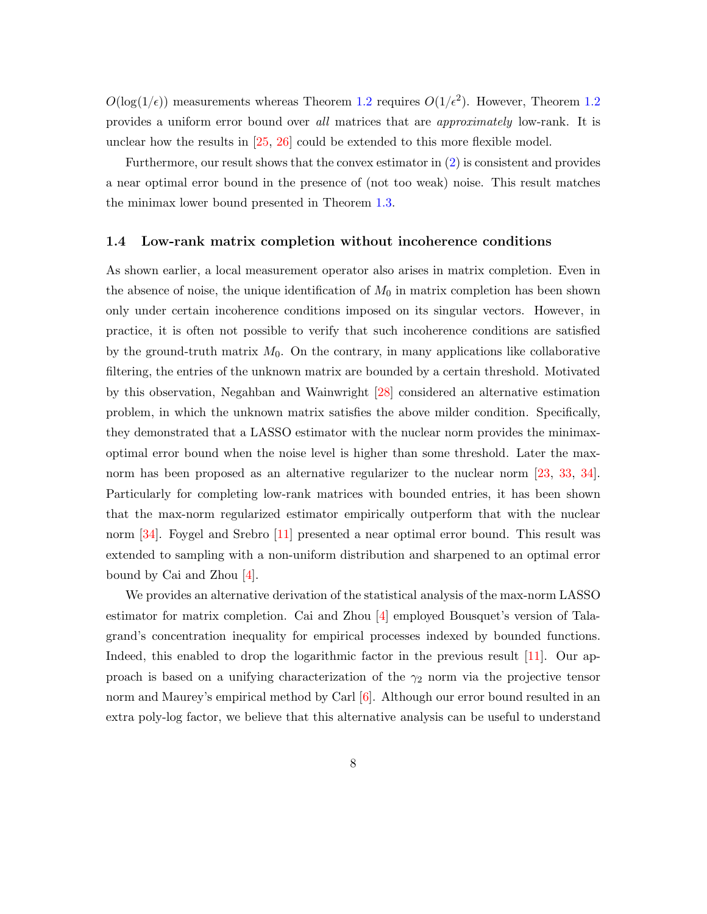$O(\log(1/\epsilon))$  measurements whereas Theorem [1.2](#page-4-1) requires  $O(1/\epsilon^2)$ . However, Theorem 1.2 provides a uniform error bound over *all* matrices that are *approximately* low-rank. It is unclear how the results in [\[25,](#page-36-3) [26](#page-36-4)] could be extended to this more flexible model.

Furthermore, our result shows that the convex estimator in [\(2\)](#page-1-1) is consistent and provides a near optimal error bound in the presence of (not too weak) noise. This result matches the minimax lower bound presented in Theorem [1.3.](#page-5-3)

#### 1.4 Low-rank matrix completion without incoherence conditions

As shown earlier, a local measurement operator also arises in matrix completion. Even in the absence of noise, the unique identification of  $M_0$  in matrix completion has been shown only under certain incoherence conditions imposed on its singular vectors. However, in practice, it is often not possible to verify that such incoherence conditions are satisfied by the ground-truth matrix  $M_0$ . On the contrary, in many applications like collaborative filtering, the entries of the unknown matrix are bounded by a certain threshold. Motivated by this observation, Negahban and Wainwright [\[28](#page-36-1)] considered an alternative estimation problem, in which the unknown matrix satisfies the above milder condition. Specifically, they demonstrated that a LASSO estimator with the nuclear norm provides the minimaxoptimal error bound when the noise level is higher than some threshold. Later the max-norm has been proposed as an alternative regularizer to the nuclear norm [\[23](#page-36-2), [33](#page-37-3), [34](#page-37-4)]. Particularly for completing low-rank matrices with bounded entries, it has been shown that the max-norm regularized estimator empirically outperform that with the nuclear norm [\[34](#page-37-4)]. Foygel and Srebro [\[11\]](#page-34-1) presented a near optimal error bound. This result was extended to sampling with a non-uniform distribution and sharpened to an optimal error bound by Cai and Zhou  $|4|$ .

We provides an alternative derivation of the statistical analysis of the max-norm LASSO estimator for matrix completion. Cai and Zhou [\[4\]](#page-34-0) employed Bousquet's version of Talagrand's concentration inequality for empirical processes indexed by bounded functions. Indeed, this enabled to drop the logarithmic factor in the previous result [\[11](#page-34-1)]. Our approach is based on a unifying characterization of the  $\gamma_2$  norm via the projective tensor norm and Maurey's empirical method by Carl [\[6\]](#page-34-2). Although our error bound resulted in an extra poly-log factor, we believe that this alternative analysis can be useful to understand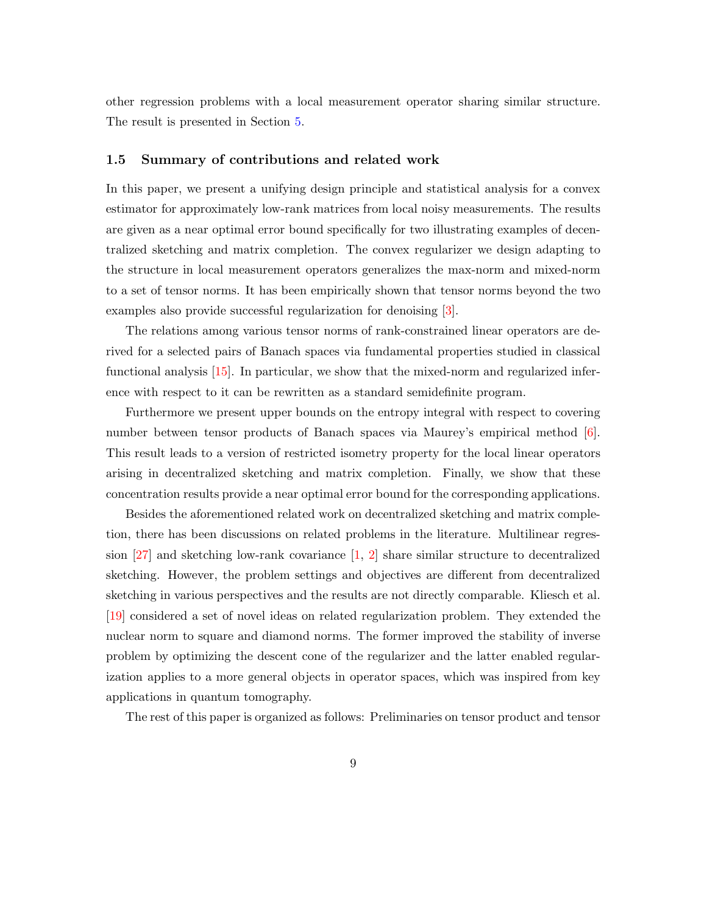other regression problems with a local measurement operator sharing similar structure. The result is presented in Section [5.](#page-20-0)

#### 1.5 Summary of contributions and related work

In this paper, we present a unifying design principle and statistical analysis for a convex estimator for approximately low-rank matrices from local noisy measurements. The results are given as a near optimal error bound specifically for two illustrating examples of decentralized sketching and matrix completion. The convex regularizer we design adapting to the structure in local measurement operators generalizes the max-norm and mixed-norm to a set of tensor norms. It has been empirically shown that tensor norms beyond the two examples also provide successful regularization for denoising [\[3](#page-34-3)].

The relations among various tensor norms of rank-constrained linear operators are derived for a selected pairs of Banach spaces via fundamental properties studied in classical functional analysis  $[15]$ . In particular, we show that the mixed-norm and regularized inference with respect to it can be rewritten as a standard semidefinite program.

Furthermore we present upper bounds on the entropy integral with respect to covering number between tensor products of Banach spaces via Maurey's empirical method [\[6](#page-34-2)]. This result leads to a version of restricted isometry property for the local linear operators arising in decentralized sketching and matrix completion. Finally, we show that these concentration results provide a near optimal error bound for the corresponding applications.

Besides the aforementioned related work on decentralized sketching and matrix completion, there has been discussions on related problems in the literature. Multilinear regression [\[27\]](#page-36-5) and sketching low-rank covariance [\[1](#page-34-4), [2\]](#page-34-5) share similar structure to decentralized sketching. However, the problem settings and objectives are different from decentralized sketching in various perspectives and the results are not directly comparable. Kliesch et al. [\[19\]](#page-35-2) considered a set of novel ideas on related regularization problem. They extended the nuclear norm to square and diamond norms. The former improved the stability of inverse problem by optimizing the descent cone of the regularizer and the latter enabled regularization applies to a more general objects in operator spaces, which was inspired from key applications in quantum tomography.

The rest of this paper is organized as follows: Preliminaries on tensor product and tensor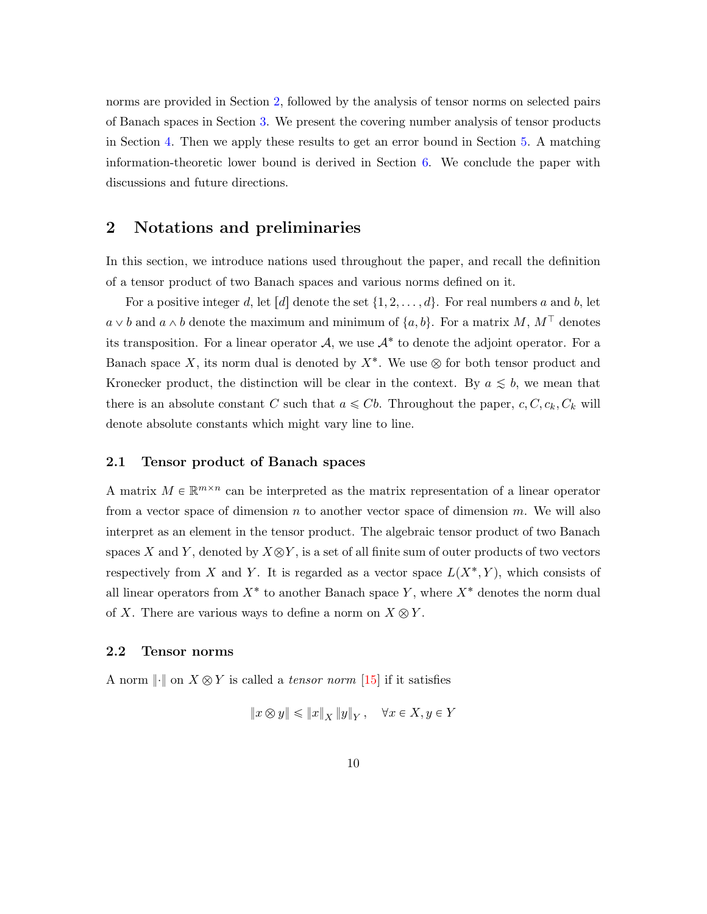norms are provided in Section [2,](#page-9-0) followed by the analysis of tensor norms on selected pairs of Banach spaces in Section [3.](#page-10-0) We present the covering number analysis of tensor products in Section [4.](#page-15-0) Then we apply these results to get an error bound in Section [5.](#page-20-0) A matching information-theoretic lower bound is derived in Section [6.](#page-26-0) We conclude the paper with discussions and future directions.

## <span id="page-9-0"></span>2 Notations and preliminaries

In this section, we introduce nations used throughout the paper, and recall the definition of a tensor product of two Banach spaces and various norms defined on it.

For a positive integer d, let [d] denote the set  $\{1, 2, \ldots, d\}$ . For real numbers a and b, let  $a \vee b$  and  $a \wedge b$  denote the maximum and minimum of  $\{a, b\}$ . For a matrix M,  $M<sup>T</sup>$  denotes its transposition. For a linear operator  $A$ , we use  $A^*$  to denote the adjoint operator. For a Banach space X, its norm dual is denoted by  $X^*$ . We use  $\otimes$  for both tensor product and Kronecker product, the distinction will be clear in the context. By  $a \leq b$ , we mean that there is an absolute constant C such that  $a \leq Cb$ . Throughout the paper,  $c, C, c_k, C_k$  will denote absolute constants which might vary line to line.

#### 2.1 Tensor product of Banach spaces

A matrix  $M \in \mathbb{R}^{m \times n}$  can be interpreted as the matrix representation of a linear operator from a vector space of dimension  $n$  to another vector space of dimension  $m$ . We will also interpret as an element in the tensor product. The algebraic tensor product of two Banach spaces X and Y, denoted by  $X \otimes Y$ , is a set of all finite sum of outer products of two vectors respectively from X and Y. It is regarded as a vector space  $L(X^*, Y)$ , which consists of all linear operators from  $X^*$  to another Banach space Y, where  $X^*$  denotes the norm dual of X. There are various ways to define a norm on  $X \otimes Y$ .

#### 2.2 Tensor norms

A norm  $\lVert \cdot \rVert$  on  $X \otimes Y$  is called a *tensor norm* [\[15](#page-35-1)] if it satisfies

$$
||x \otimes y|| \le ||x||_X ||y||_Y, \quad \forall x \in X, y \in Y
$$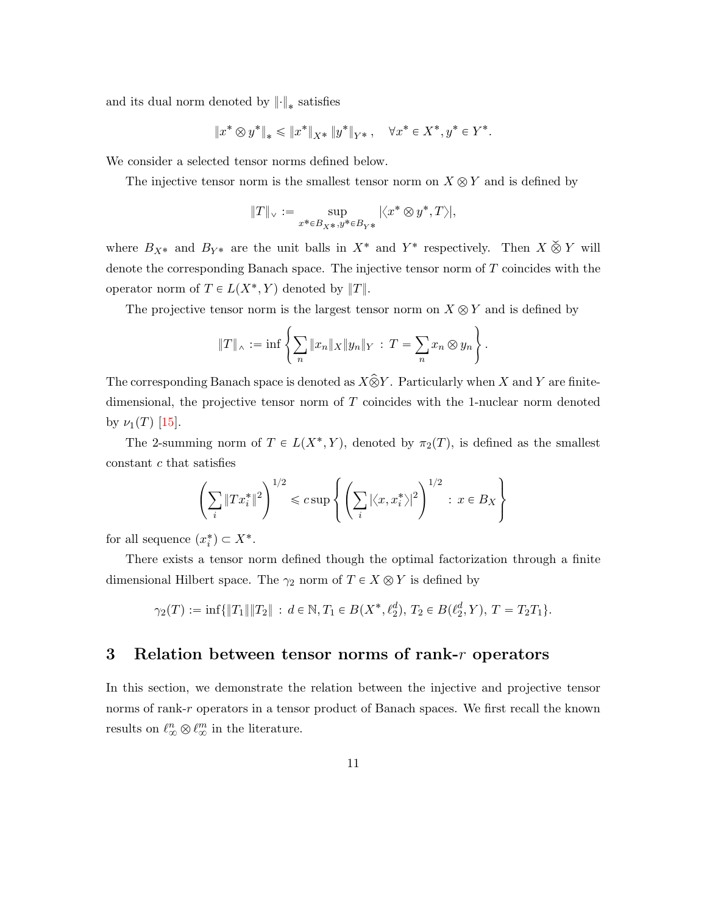and its dual norm denoted by  $\left\|\cdot\right\|_*$  satisfies

$$
\|x^* \otimes y^*\|_* \le \|x^*\|_{X^*} \|y^*\|_{Y^*}, \quad \forall x^* \in X^*, y^* \in Y^*.
$$

We consider a selected tensor norms defined below.

The injective tensor norm is the smallest tensor norm on  $X \otimes Y$  and is defined by

$$
\|T\|_{\vee}:=\sup_{x^*\in B_{X^*},y^*\in B_{Y^*}}|\big|,
$$

where  $B_{X^*}$  and  $B_{Y^*}$  are the unit balls in  $X^*$  and  $Y^*$  respectively. Then  $X \& Y$  will denote the corresponding Banach space. The injective tensor norm of  $T$  coincides with the operator norm of  $T \in L(X^*, Y)$  denoted by  $||T||$ .

The projective tensor norm is the largest tensor norm on  $X \otimes Y$  and is defined by

$$
||T||_{\wedge} := \inf \left\{ \sum_{n} ||x_n||_X ||y_n||_Y : T = \sum_{n} x_n \otimes y_n \right\}.
$$

The corresponding Banach space is denoted as  $X\hat{\otimes} Y$ . Particularly when X and Y are finitedimensional, the projective tensor norm of  $T$  coincides with the 1-nuclear norm denoted by  $\nu_1(T)$  [\[15](#page-35-1)].

The 2-summing norm of  $T \in L(X^*, Y)$ , denoted by  $\pi_2(T)$ , is defined as the smallest constant c that satisfies

$$
\left(\sum_{i} \|Tx_i^*\|^2\right)^{1/2} \leqslant c \sup\left\{\left(\sum_{i} |\langle x, x_i^*\rangle|^2\right)^{1/2} : x \in B_X\right\}
$$

for all sequence  $(x_i^*) \subset X^*$ .

There exists a tensor norm defined though the optimal factorization through a finite dimensional Hilbert space. The  $\gamma_2$  norm of  $T \in X \otimes Y$  is defined by

$$
\gamma_2(T) := \inf \{ ||T_1|| ||T_2|| : d \in \mathbb{N}, T_1 \in B(X^*, \ell_2^d), T_2 \in B(\ell_2^d, Y), T = T_2 T_1 \}.
$$

## <span id="page-10-0"></span>3 Relation between tensor norms of rank- $r$  operators

In this section, we demonstrate the relation between the injective and projective tensor norms of rank-r operators in a tensor product of Banach spaces. We first recall the known results on  $\ell_{\infty}^{n} \otimes \ell_{\infty}^{m}$  in the literature.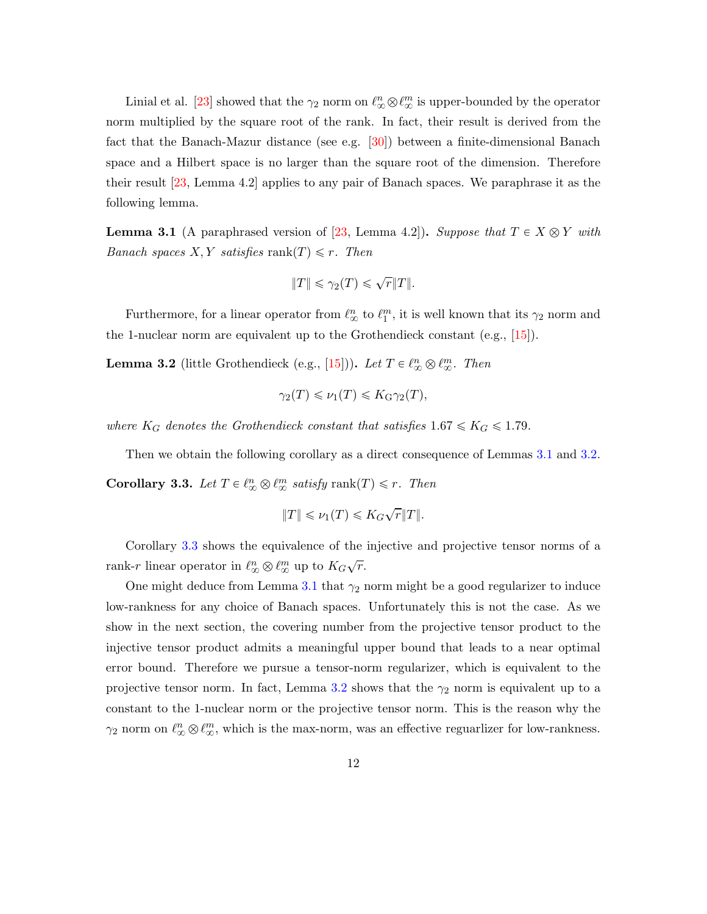Linial et al. [\[23](#page-36-2)] showed that the  $\gamma_2$  norm on  $\ell_{\infty}^n \otimes \ell_{\infty}^m$  is upper-bounded by the operator norm multiplied by the square root of the rank. In fact, their result is derived from the fact that the Banach-Mazur distance (see e.g. [\[30\]](#page-36-6)) between a finite-dimensional Banach space and a Hilbert space is no larger than the square root of the dimension. Therefore their result [\[23,](#page-36-2) Lemma 4.2] applies to any pair of Banach spaces. We paraphrase it as the following lemma.

<span id="page-11-0"></span>**Lemma 3.1** (A paraphrased version of [\[23,](#page-36-2) Lemma 4.2]). *Suppose that*  $T \in X \otimes Y$  *with Banach spaces*  $X, Y$  *satisfies* rank $(T) \leq r$ *. Then* 

$$
||T|| \leq \gamma_2(T) \leq \sqrt{r}||T||.
$$

Furthermore, for a linear operator from  $\ell_{\infty}^{n}$  to  $\ell_{1}^{m}$ , it is well known that its  $\gamma_2$  norm and the 1-nuclear norm are equivalent up to the Grothendieck constant (e.g., [\[15](#page-35-1)]).

<span id="page-11-1"></span>**Lemma 3.2** (little Grothendieck (e.g., [\[15](#page-35-1)])). Let  $T \in \ell_{\infty}^n \otimes \ell_{\infty}^m$ . Then

$$
\gamma_2(T) \leq \nu_1(T) \leq K_G \gamma_2(T),
$$

*where*  $K_G$  *denotes the Grothendieck constant that satisfies*  $1.67 \leq K_G \leq 1.79$ *.* 

<span id="page-11-2"></span>Then we obtain the following corollary as a direct consequence of Lemmas [3.1](#page-11-0) and [3.2.](#page-11-1) **Corollary 3.3.** Let  $T \in \ell_{\infty}^n \otimes \ell_{\infty}^m$  satisfy rank $(T) \leq r$ . Then

$$
||T|| \le \nu_1(T) \le K_G \sqrt{r} ||T||.
$$

Corollary [3.3](#page-11-2) shows the equivalence of the injective and projective tensor norms of a rank-r linear operator in  $\ell_{\infty}^{n} \otimes \ell_{\infty}^{m}$  up to  $K_G \sqrt{r}$ .

One might deduce from Lemma [3.1](#page-11-0) that  $\gamma_2$  norm might be a good regularizer to induce low-rankness for any choice of Banach spaces. Unfortunately this is not the case. As we show in the next section, the covering number from the projective tensor product to the injective tensor product admits a meaningful upper bound that leads to a near optimal error bound. Therefore we pursue a tensor-norm regularizer, which is equivalent to the projective tensor norm. In fact, Lemma [3.2](#page-11-1) shows that the  $\gamma_2$  norm is equivalent up to a constant to the 1-nuclear norm or the projective tensor norm. This is the reason why the  $\gamma_2$  norm on  $\ell_{\infty}^n \otimes \ell_{\infty}^m$ , which is the max-norm, was an effective reguarlizer for low-rankness.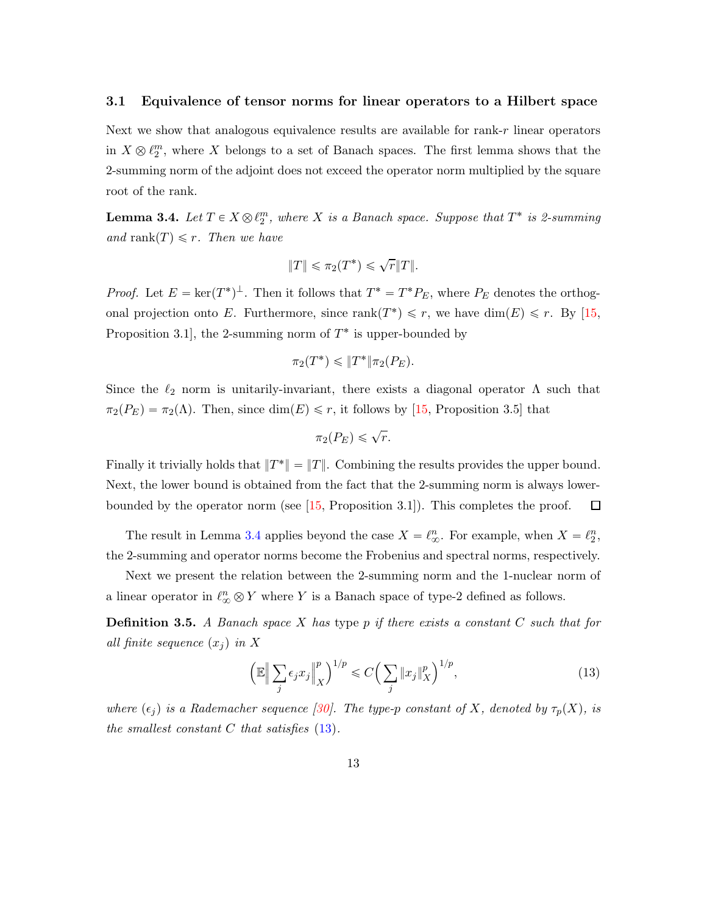#### 3.1 Equivalence of tensor norms for linear operators to a Hilbert space

Next we show that analogous equivalence results are available for rank-r linear operators in  $X \otimes \ell_2^m$ , where X belongs to a set of Banach spaces. The first lemma shows that the 2-summing norm of the adjoint does not exceed the operator norm multiplied by the square root of the rank.

<span id="page-12-0"></span>**Lemma 3.4.** Let  $T \in X \otimes \ell_2^m$ , where X is a Banach space. Suppose that  $T^*$  is 2-summing *and* rank $(T) \leq r$ *. Then we have* 

$$
||T|| \leq \pi_2(T^*) \leq \sqrt{r}||T||.
$$

*Proof.* Let  $E = \ker(T^*)^{\perp}$ . Then it follows that  $T^* = T^*P_E$ , where  $P_E$  denotes the orthogonal projection onto E. Furthermore, since  $rank(T^*) \leq r$ , we have  $dim(E) \leq r$ . By [\[15](#page-35-1), Proposition 3.1, the 2-summing norm of  $T^*$  is upper-bounded by

$$
\pi_2(T^*) \leqslant \|T^*\|\pi_2(P_E).
$$

Since the  $\ell_2$  norm is unitarily-invariant, there exists a diagonal operator  $\Lambda$  such that  $\pi_2(P_E) = \pi_2(\Lambda)$ . Then, since  $\dim(E) \leq r$ , it follows by [\[15,](#page-35-1) Proposition 3.5] that

$$
\pi_2(P_E) \leqslant \sqrt{r}.
$$

Finally it trivially holds that  $||T^*|| = ||T||$ . Combining the results provides the upper bound. Next, the lower bound is obtained from the fact that the 2-summing norm is always lowerbounded by the operator norm (see [\[15,](#page-35-1) Proposition 3.1]). This completes the proof.  $\Box$ 

The result in Lemma [3.4](#page-12-0) applies beyond the case  $X = \ell_{\infty}^{n}$ . For example, when  $X = \ell_{2}^{n}$ , the 2-summing and operator norms become the Frobenius and spectral norms, respectively.

Next we present the relation between the 2-summing norm and the 1-nuclear norm of a linear operator in  $\ell_{\infty}^{n} \otimes Y$  where Y is a Banach space of type-2 defined as follows.

Definition 3.5. *A Banach space* X *has* type p *if there exists a constant* C *such that for all finite sequence*  $(x_i)$  *in* X

<span id="page-12-1"></span>
$$
\left(\mathbb{E}\Big\|\sum_{j}\epsilon_{j}x_{j}\Big\|_{X}^{p}\right)^{1/p} \leqslant C\Big(\sum_{j}\|x_{j}\|_{X}^{p}\Big)^{1/p},\tag{13}
$$

*where*  $(\epsilon_j)$  *is a Rademacher sequence* [\[30\]](#page-36-6)*. The type-p constant of* X, denoted by  $\tau_p(X)$ , is *the smallest constant* C *that satisfies* [\(13\)](#page-12-1)*.*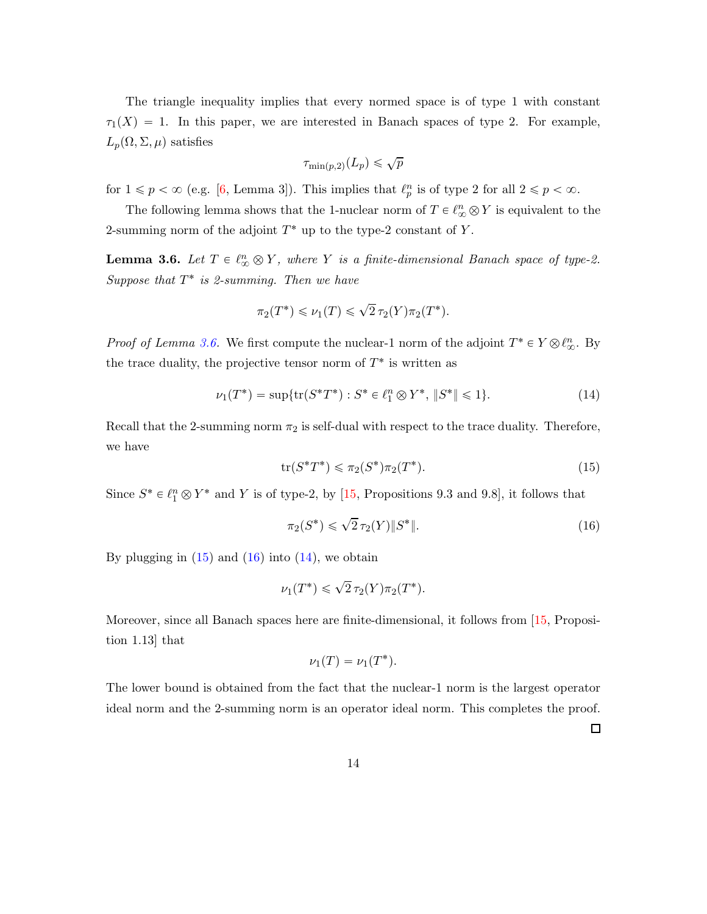The triangle inequality implies that every normed space is of type 1 with constant  $\tau_1(X) = 1$ . In this paper, we are interested in Banach spaces of type 2. For example,  $L_p(\Omega, \Sigma, \mu)$  satisfies

$$
\tau_{\min(p,2)}(L_p)\leqslant \sqrt{p}
$$

for  $1 \leqslant p < \infty$  (e.g. [\[6,](#page-34-2) Lemma 3]). This implies that  $\ell_p^n$  is of type 2 for all  $2 \leqslant p < \infty$ .

The following lemma shows that the 1-nuclear norm of  $T \in \ell_{\infty}^n \otimes Y$  is equivalent to the 2-summing norm of the adjoint  $T^*$  up to the type-2 constant of Y.

<span id="page-13-0"></span>**Lemma 3.6.** Let  $T \in \ell_{\infty}^n \otimes Y$ , where Y is a finite-dimensional Banach space of type-2. *Suppose that* T ˚ *is 2-summing. Then we have*

<span id="page-13-3"></span>
$$
\pi_2(T^*) \le \nu_1(T) \le \sqrt{2} \tau_2(Y) \pi_2(T^*).
$$

*Proof of Lemma [3.6.](#page-13-0)* We first compute the nuclear-1 norm of the adjoint  $T^* \in Y \otimes \ell_{\infty}^n$ . By the trace duality, the projective tensor norm of  $T^*$  is written as

$$
\nu_1(T^*) = \sup \{ \text{tr}(S^*T^*) : S^* \in \ell_1^n \otimes Y^*, \, \|S^*\| \leq 1 \}. \tag{14}
$$

<span id="page-13-1"></span>Recall that the 2-summing norm  $\pi_2$  is self-dual with respect to the trace duality. Therefore, we have

$$
\text{tr}(S^*T^*) \leq \pi_2(S^*)\pi_2(T^*). \tag{15}
$$

Since  $S^* \in \ell_1^n \otimes Y^*$  and Y is of type-2, by [\[15,](#page-35-1) Propositions 9.3 and 9.8], it follows that

$$
\pi_2(S^*) \leq \sqrt{2} \,\tau_2(Y) \| S^* \|.
$$
\n(16)

By plugging in  $(15)$  and  $(16)$  into  $(14)$ , we obtain

$$
\nu_1(T^*) \leqslant \sqrt{2} \tau_2(Y) \pi_2(T^*).
$$

Moreover, since all Banach spaces here are finite-dimensional, it follows from [\[15,](#page-35-1) Proposition 1.13] that

$$
\nu_1(T)=\nu_1(T^*).
$$

The lower bound is obtained from the fact that the nuclear-1 norm is the largest operator ideal norm and the 2-summing norm is an operator ideal norm. This completes the proof.

<span id="page-13-2"></span> $\Box$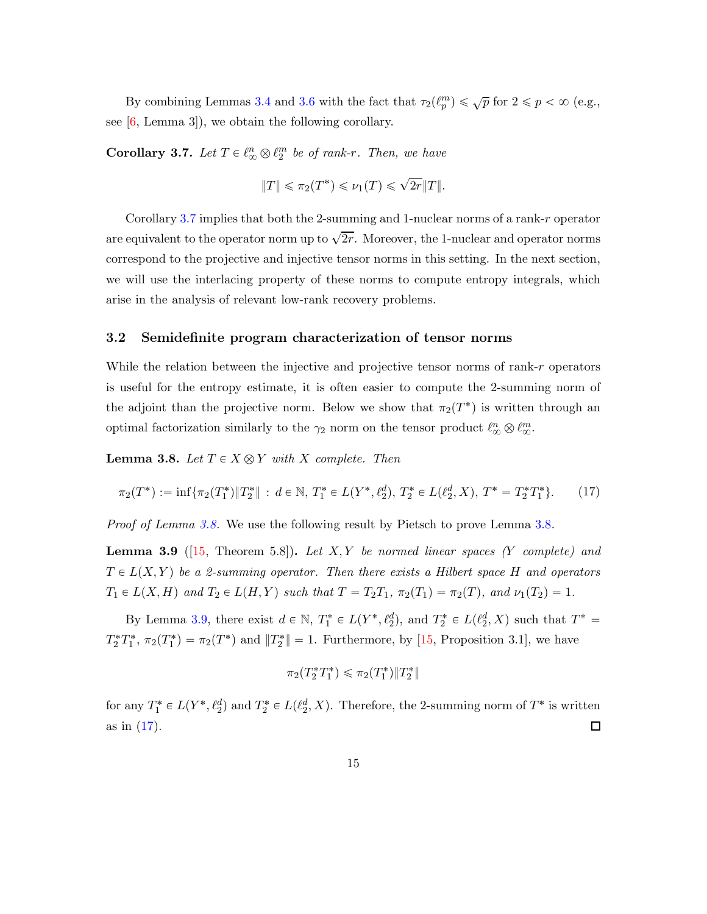By combining Lemmas [3.4](#page-12-0) and [3.6](#page-13-0) with the fact that  $\tau_2(\ell_p^m) \leq \sqrt{p}$  for  $2 \leq p < \infty$  (e.g., see  $[6, \text{Lemma } 3]$ , we obtain the following corollary.

<span id="page-14-0"></span>**Corollary 3.7.** Let  $T \in \ell_{\infty}^n \otimes \ell_2^m$  be of rank-r. Then, we have

$$
||T|| \leq \pi_2(T^*) \leq \nu_1(T) \leq \sqrt{2r}||T||.
$$

Corollary [3.7](#page-14-0) implies that both the 2-summing and 1-nuclear norms of a rank-r operator are equivalent to the operator norm up to  $\sqrt{2r}$ . Moreover, the 1-nuclear and operator norms correspond to the projective and injective tensor norms in this setting. In the next section, we will use the interlacing property of these norms to compute entropy integrals, which arise in the analysis of relevant low-rank recovery problems.

#### 3.2 Semidefinite program characterization of tensor norms

While the relation between the injective and projective tensor norms of rank-r operators is useful for the entropy estimate, it is often easier to compute the 2-summing norm of the adjoint than the projective norm. Below we show that  $\pi_2(T^*)$  is written through an optimal factorization similarly to the  $\gamma_2$  norm on the tensor product  $\ell_{\infty}^n \otimes \ell_{\infty}^m$ .

<span id="page-14-1"></span>**Lemma 3.8.** Let  $T \in X \otimes Y$  with X complete. Then

$$
\pi_2(T^*) := \inf \{ \pi_2(T_1^*) \| T_2^* \| : d \in \mathbb{N}, T_1^* \in L(Y^*, \ell_2^d), T_2^* \in L(\ell_2^d, X), T^* = T_2^* T_1^* \}. \tag{17}
$$

*Proof of Lemma [3.8.](#page-14-1)* We use the following result by Pietsch to prove Lemma [3.8.](#page-14-1)

<span id="page-14-2"></span>Lemma 3.9 ([\[15,](#page-35-1) Theorem 5.8]). *Let* X, Y *be normed linear spaces (*Y *complete) and*  $T \in L(X, Y)$  be a 2-summing operator. Then there exists a Hilbert space H and operators  $T_1 \in L(X, H)$  and  $T_2 \in L(H, Y)$  such that  $T = T_2T_1$ ,  $\pi_2(T_1) = \pi_2(T)$ , and  $\nu_1(T_2) = 1$ .

By Lemma [3.9,](#page-14-2) there exist  $d \in \mathbb{N}$ ,  $T_1^* \in L(Y^*, \ell_2^d)$ , and  $T_2^* \in L(\ell_2^d, X)$  such that  $T^* =$  $T_2^* T_1^*, \ \pi_2(T_1^*) = \pi_2(T^*)$  and  $||T_2^*|| = 1$ . Furthermore, by [\[15](#page-35-1), Proposition 3.1], we have

<span id="page-14-3"></span>
$$
\pi_2(T_2^*T_1^*) \leq \pi_2(T_1^*) \|T_2^*\|
$$

for any  $T_1^* \in L(Y^*, \ell_2^d)$  and  $T_2^* \in L(\ell_2^d, X)$ . Therefore, the 2-summing norm of  $T^*$  is written as in [\(17\)](#page-14-3).  $\Box$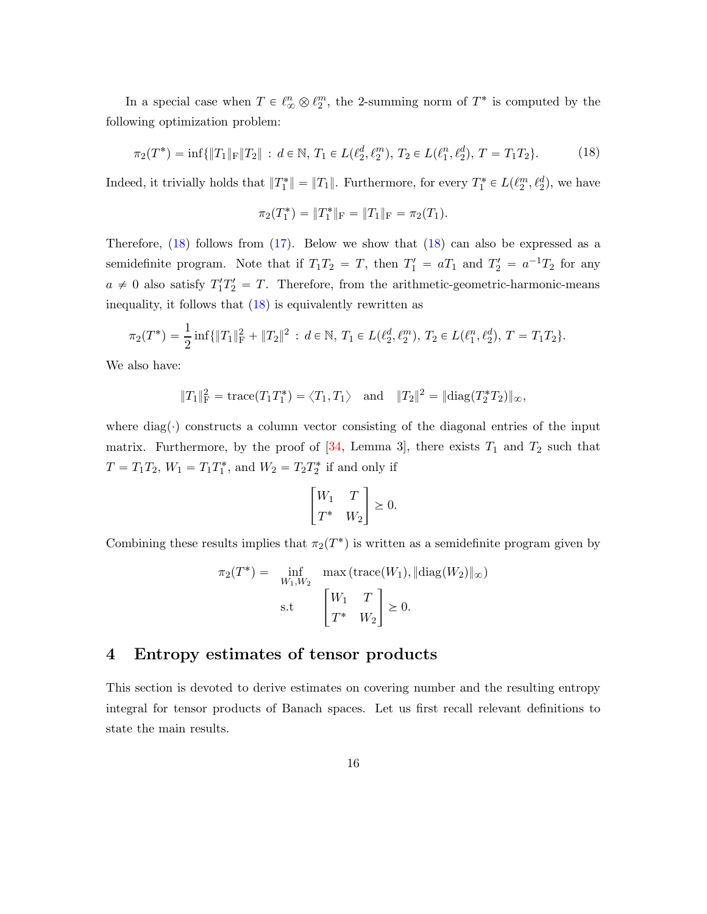In a special case when  $T \in \ell_{\infty}^n \otimes \ell_2^m$ , the 2-summing norm of  $T^*$  is computed by the following optimization problem:

$$
\pi_2(T^*) = \inf\{\|T_1\|_{\mathrm{F}}\|T_2\| \,:\, d \in \mathbb{N}, \, T_1 \in L(\ell_2^d, \ell_2^m), \, T_2 \in L(\ell_1^n, \ell_2^d), \, T = T_1 T_2\}.\tag{18}
$$

Indeed, it trivially holds that  $||T_1^*|| = ||T_1||$ . Furthermore, for every  $T_1^* \in L(\ell_2^m, \ell_2^d)$ , we have

<span id="page-15-1"></span>
$$
\pi_2(T_1^*) = \|T_1^*\|_{\mathcal{F}} = \|T_1\|_{\mathcal{F}} = \pi_2(T_1).
$$

Therefore,  $(18)$  follows from  $(17)$ . Below we show that  $(18)$  can also be expressed as a semidefinite program. Note that if  $T_1T_2 = T$ , then  $T_1' = aT_1$  and  $T_2' = a^{-1}T_2$  for any  $a \neq 0$  also satisfy  $T_1' T_2' = T$ . Therefore, from the arithmetic-geometric-harmonic-means inequality, it follows that  $(18)$  is equivalently rewritten as

$$
\pi_2(T^*) = \frac{1}{2}\inf\{\|T_1\|_{\mathrm{F}}^2 + \|T_2\|^2 : d \in \mathbb{N}, T_1 \in L(\ell_2^d, \ell_2^m), T_2 \in L(\ell_1^n, \ell_2^d), T = T_1T_2\}.
$$

We also have:

$$
||T_1||_F^2 = \text{trace}(T_1 T_1^*) = \langle T_1, T_1 \rangle \text{ and } ||T_2||^2 = ||\text{diag}(T_2^* T_2)||_{\infty},
$$

where diag( $\cdot$ ) constructs a column vector consisting of the diagonal entries of the input matrix. Furthermore, by the proof of  $[34,$  Lemma 3], there exists  $T_1$  and  $T_2$  such that  $T = T_1 T_2$ ,  $W_1 = T_1 T_1^*$ , and  $W_2 = T_2 T_2^*$  if and only if

$$
\begin{bmatrix} W_1 & T \\ T^* & W_2 \end{bmatrix} \ge 0.
$$

Combining these results implies that  $\pi_2(T^*)$  is written as a semidefinite program given by

$$
\pi_2(T^*) = \inf_{W_1, W_2} \max(\text{trace}(W_1), \|\text{diag}(W_2)\|_{\infty})
$$
  
s.t 
$$
\begin{bmatrix} W_1 & T \\ T^* & W_2 \end{bmatrix} \ge 0.
$$

## <span id="page-15-0"></span>4 Entropy estimates of tensor products

This section is devoted to derive estimates on covering number and the resulting entropy integral for tensor products of Banach spaces. Let us first recall relevant definitions to state the main results.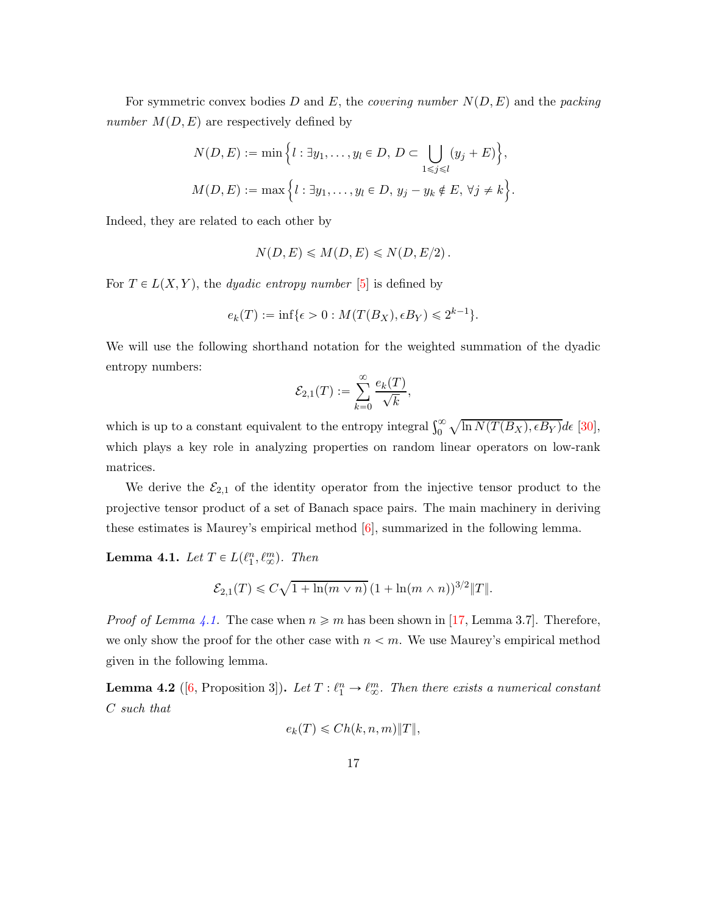For symmetric convex bodies D and E, the *covering number*  $N(D, E)$  and the *packing number*  $M(D, E)$  are respectively defined by

$$
N(D, E) := \min \Big\{ l : \exists y_1, \dots, y_l \in D, D \subset \bigcup_{1 \leq j \leq l} (y_j + E) \Big\},\
$$
  

$$
M(D, E) := \max \Big\{ l : \exists y_1, \dots, y_l \in D, y_j - y_k \notin E, \forall j \neq k \Big\}.
$$

Indeed, they are related to each other by

$$
N(D, E) \le M(D, E) \le N(D, E/2).
$$

For  $T \in L(X, Y)$ , the *dyadic entropy number* [\[5](#page-34-6)] is defined by

$$
e_k(T) := \inf \{ \epsilon > 0 : M(T(B_X), \epsilon B_Y) \leq 2^{k-1} \}.
$$

We will use the following shorthand notation for the weighted summation of the dyadic entropy numbers:

$$
\mathcal{E}_{2,1}(T) := \sum_{k=0}^{\infty} \frac{e_k(T)}{\sqrt{k}},
$$

which is up to a constant equivalent to the entropy integral  $\int_0^\infty \sqrt{\ln N(T(B_X), \epsilon B_Y)} d\epsilon$  [\[30](#page-36-6)], which plays a key role in analyzing properties on random linear operators on low-rank matrices.

We derive the  $\mathcal{E}_{2,1}$  of the identity operator from the injective tensor product to the projective tensor product of a set of Banach space pairs. The main machinery in deriving these estimates is Maurey's empirical method  $[6]$ , summarized in the following lemma.

<span id="page-16-0"></span>**Lemma 4.1.** Let  $T \in L(\ell_1^n, \ell_\infty^m)$ . Then

$$
\mathcal{E}_{2,1}(T) \leq C\sqrt{1 + \ln(m \vee n)} \left(1 + \ln(m \wedge n)\right)^{3/2} \|T\|.
$$

*Proof of Lemma [4.1.](#page-16-0)* The case when  $n \geq m$  has been shown in [\[17](#page-35-0), Lemma 3.7]. Therefore, we only show the proof for the other case with  $n < m$ . We use Maurey's empirical method given in the following lemma.

<span id="page-16-1"></span>**Lemma 4.2** ([\[6](#page-34-2), Proposition 3]). Let  $T: \ell_1^n \to \ell_{\infty}^m$ . Then there exists a numerical constant C *such that*

$$
e_k(T) \leq C h(k, n, m) \|T\|,
$$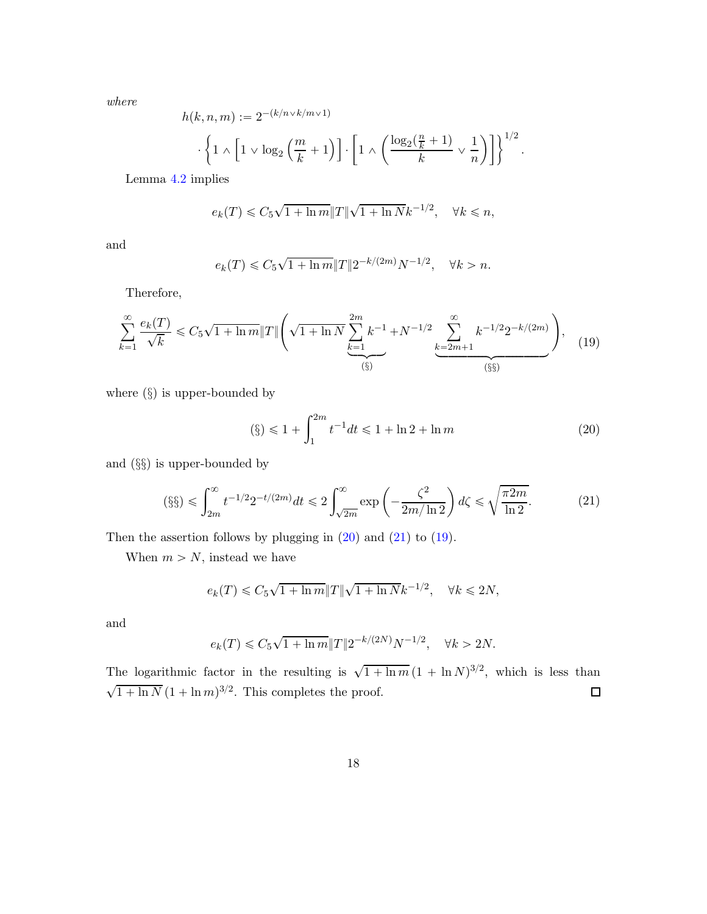*where*

$$
h(k, n, m) := 2^{-(k/n \vee k/m \vee 1)} \cdot \left\{ 1 \wedge \left[ 1 \vee \log_2 \left( \frac{m}{k} + 1 \right) \right] \cdot \left[ 1 \wedge \left( \frac{\log_2 \left( \frac{n}{k} + 1 \right)}{k} \vee \frac{1}{n} \right) \right] \right\}^{1/2}.
$$

Lemma [4.2](#page-16-1) implies

$$
e_k(T) \leq C_5 \sqrt{1 + \ln m} \|T\| \sqrt{1 + \ln N} k^{-1/2}, \quad \forall k \leq n,
$$

and

<span id="page-17-2"></span>
$$
e_k(T) \leq C_5 \sqrt{1 + \ln m} \|T\| 2^{-k/(2m)} N^{-1/2}, \quad \forall k > n.
$$

Therefore,

$$
\sum_{k=1}^{\infty} \frac{e_k(T)}{\sqrt{k}} \le C_5 \sqrt{1 + \ln m} \|T\| \left( \sqrt{1 + \ln N} \sum_{\substack{k=1 \ (s) \\ (s)}}^{2m} k^{-1} + N^{-1/2} \sum_{\substack{k=2m+1 \ (s) \\ (s)}}^{\infty} k^{-1/2} 2^{-k/(2m)} \right), \quad (19)
$$

where  $(\S)$  is upper-bounded by

<span id="page-17-1"></span><span id="page-17-0"></span>
$$
(\S) \le 1 + \int_{1}^{2m} t^{-1} dt \le 1 + \ln 2 + \ln m \tag{20}
$$

and (§§) is upper-bounded by

$$
(\S\S) \leq \int_{2m}^{\infty} t^{-1/2} 2^{-t/(2m)} dt \leq 2 \int_{\sqrt{2m}}^{\infty} \exp\left(-\frac{\zeta^2}{2m/\ln 2}\right) d\zeta \leq \sqrt{\frac{\pi 2m}{\ln 2}}.\tag{21}
$$

Then the assertion follows by plugging in  $(20)$  and  $(21)$  to  $(19)$ .

When  $m > N$ , instead we have

$$
e_k(T) \leq C_5 \sqrt{1 + \ln m} \|T\| \sqrt{1 + \ln N} k^{-1/2}, \quad \forall k \leq 2N,
$$

and

$$
e_k(T) \leq C_5 \sqrt{1+\ln m} \|T\| 2^{-k/(2N)} N^{-1/2}, \quad \forall k > 2N.
$$

The logarithmic factor in the resulting is  $\sqrt{1 + \ln m} (1 + \ln N)^{3/2}$ , which is less than  $\sqrt{1 + \ln N} (1 + \ln m)^{3/2}$ . This completes the proof.  $\Box$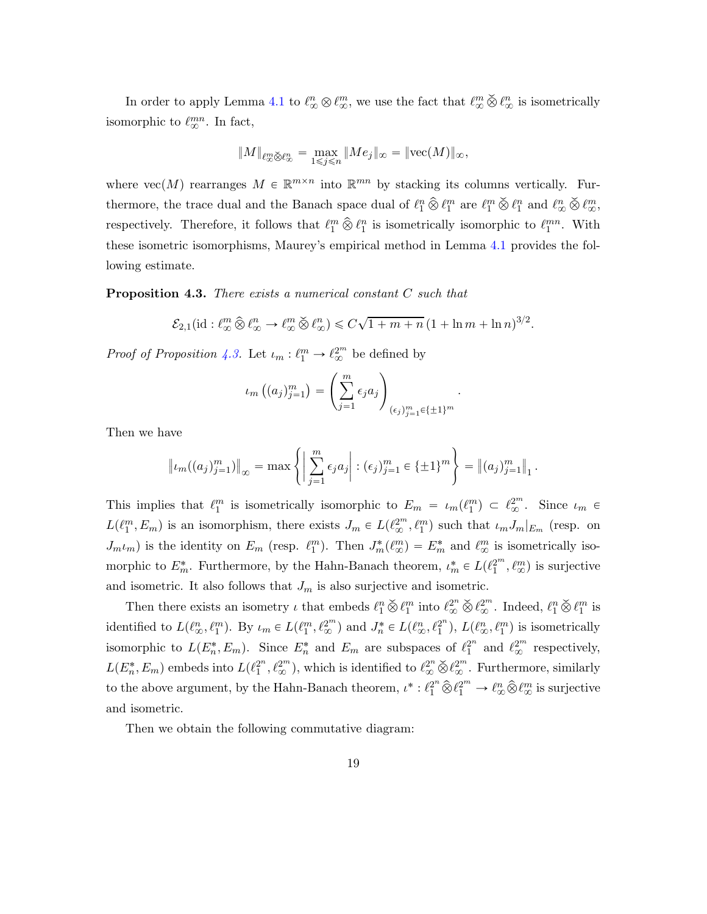In order to apply Lemma [4.1](#page-16-0) to  $\ell_{\infty}^n \otimes \ell_{\infty}^m$ , we use the fact that  $\ell_{\infty}^m \check{\otimes} \ell_{\infty}^n$  is isometrically isomorphic to  $\ell_{\infty}^{mn}$ . In fact,

$$
\|M\|_{\ell_\infty^m\check\otimes \ell_\infty^n}=\max_{1\leqslant j\leqslant n}\|Me_j\|_\infty=\|{\rm vec}(M)\|_\infty,
$$

where  $\text{vec}(M)$  rearranges  $M \in \mathbb{R}^{m \times n}$  into  $\mathbb{R}^{mn}$  by stacking its columns vertically. Furthermore, the trace dual and the Banach space dual of  $\ell_1^n \hat{\otimes} \ell_1^m$  are  $\ell_1^m \check{\otimes} \ell_1^n$  and  $\ell_\infty^n \check{\otimes} \ell_\infty^m$ , respectively. Therefore, it follows that  $\ell_1^m \hat{\otimes} \ell_1^n$  is isometrically isomorphic to  $\ell_1^{mn}$ . With these isometric isomorphisms, Maurey's empirical method in Lemma [4.1](#page-16-0) provides the following estimate.

<span id="page-18-0"></span>Proposition 4.3. *There exists a numerical constant* C *such that*

$$
\mathcal{E}_{2,1}(\mathrm{id}: \ell_\infty^m \widehat{\otimes} \ell_\infty^n \to \ell_\infty^m \widecheck{\otimes} \ell_\infty^n) \leqslant C\sqrt{1+m+n} \left(1+\ln m+\ln n\right)^{3/2}.
$$

*Proof of Proposition [4.3.](#page-18-0)* Let  $\iota_m : \ell_1^m \to \ell_\infty^{2^m}$  be defined by

$$
\iota_m\left((a_j)_{j=1}^m\right) = \left(\sum_{j=1}^m \epsilon_j a_j\right)_{(\epsilon_j)_{j=1}^m \in \{\pm 1\}^m}
$$

.

Then we have

$$
\| \iota_m((a_j)_{j=1}^m) \|_{\infty} = \max \left\{ \left| \sum_{j=1}^m \epsilon_j a_j \right| : (\epsilon_j)_{j=1}^m \in {\{\pm 1\}}^m \right\} = \left\| (a_j)_{j=1}^m \right\|_1.
$$

This implies that  $\ell_1^m$  is isometrically isomorphic to  $E_m = \iota_m(\ell_1^m) \subset \ell_\infty^{2^m}$ . Since  $\iota_m \in$  $L(\ell_1^m, E_m)$  is an isomorphism, there exists  $J_m \in L(\ell_{\infty}^{2^m}, \ell_1^m)$  such that  $\iota_m J_m|_{E_m}$  (resp. on  $J_m\iota_m$ ) is the identity on  $E_m$  (resp.  $\ell_1^m$ ). Then  $J_m^*(\ell_\infty^m) = E_m^*$  and  $\ell_\infty^m$  is isometrically isomorphic to  $E_m^*$ . Furthermore, by the Hahn-Banach theorem,  $\iota_m^* \in L(\ell_1^{2^m}, \ell_\infty^m)$  is surjective and isometric. It also follows that  $J_m$  is also surjective and isometric.

Then there exists an isometry  $\iota$  that embeds  $\ell_1^n \check{\otimes} \ell_1^m$  into  $\ell_\infty^{2^n} \check{\otimes} \ell_\infty^{2^m}$ . Indeed,  $\ell_1^n \check{\otimes} \ell_1^m$  is identified to  $L(\ell_{\infty}^n, \ell_{1}^m)$ . By  $\iota_m \in L(\ell_{1}^m, \ell_{\infty}^{2^m})$  and  $J_n^* \in L(\ell_{\infty}^n, \ell_{1}^{2^n})$  $2^{n}$ ,  $L(\ell_{\infty}^{n}, \ell_{1}^{m})$  is isometrically isomorphic to  $L(E_n^*, E_m)$ . Since  $E_n^*$  and  $E_m$  are subspaces of  $\ell_1^{2^n}$  $i_1^2$ <sup>n</sup> and  $\ell_\infty^{2^m}$  respectively,  $L(E_n^*, E_m)$  embeds into  $L(\ell_1^{2^n})$  $\{2^n, \ell_{\infty}^{2^m}\}$ , which is identified to  $\ell_{\infty}^{2^n} \check{\otimes} \ell_{\infty}^{2^m}$ . Furthermore, similarly to the above argument, by the Hahn-Banach theorem,  $\iota^* : \ell_1^{2^n} \widehat{\otimes} \ell_1^{2^m} \to \ell_{\infty}^n \widehat{\otimes} \ell_{\infty}^m$  is surjective and isometric.

Then we obtain the following commutative diagram: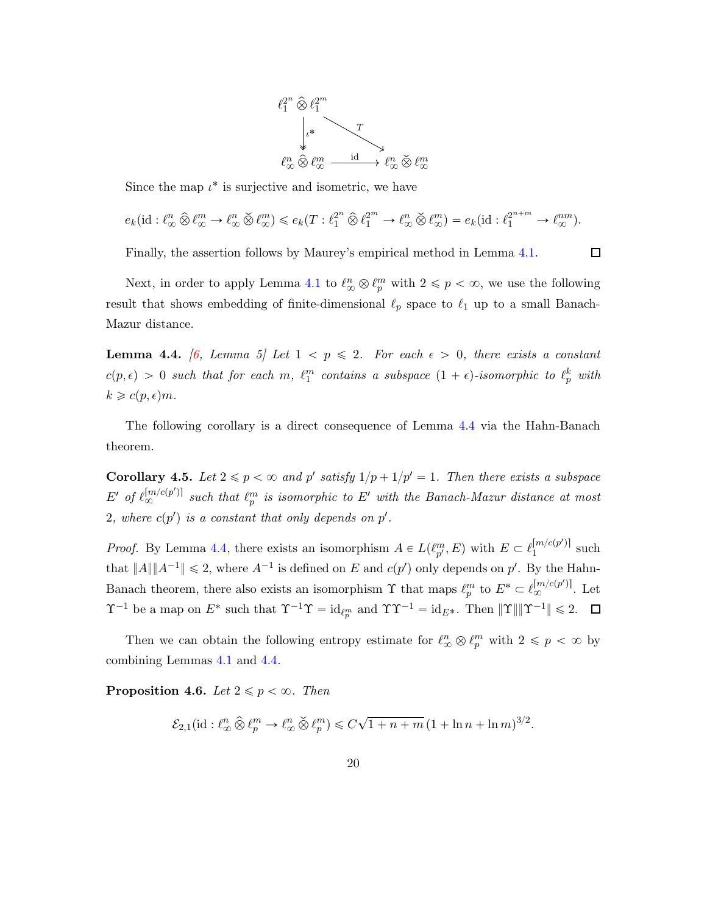

Since the map  $\iota^*$  is surjective and isometric, we have

$$
e_k(\mathrm{id}: \ell_\infty^n \widehat{\otimes} \ell_\infty^m \to \ell_\infty^n \widecheck{\otimes} \ell_\infty^m) \leqslant e_k(T: \ell_1^{2^n} \widehat{\otimes} \ell_1^{2^m} \to \ell_\infty^n \widecheck{\otimes} \ell_\infty^m) = e_k(\mathrm{id}: \ell_1^{2^{n+m}} \to \ell_\infty^{nm}).
$$

 $\Box$ 

Finally, the assertion follows by Maurey's empirical method in Lemma [4.1.](#page-16-0)

Next, in order to apply Lemma [4.1](#page-16-0) to  $\ell_{\infty}^n \otimes \ell_p^m$  with  $2 \leq p < \infty$ , we use the following result that shows embedding of finite-dimensional  $\ell_p$  space to  $\ell_1$  up to a small Banach-Mazur distance.

<span id="page-19-0"></span>**Lemma 4.4.** [\[6](#page-34-2)*, Lemma 5]* Let  $1 < p \le 2$ *. For each*  $\epsilon > 0$ *, there exists a constant*  $c(p, \epsilon) > 0$  such that for each m,  $\ell_1^m$  contains a subspace  $(1 + \epsilon)$ -isomorphic to  $\ell_p^k$  with  $k \geqslant c(p,\epsilon)m$ .

The following corollary is a direct consequence of Lemma [4.4](#page-19-0) via the Hahn-Banach theorem.

<span id="page-19-2"></span>**Corollary 4.5.** Let  $2 \leq p < \infty$  and p' satisfy  $1/p + 1/p' = 1$ . Then there exists a subspace  $E'$  of  $\ell_{\infty}^{[m/c(p')]}$  such that  $\ell_p^m$  is isomorphic to  $E'$  with the Banach-Mazur distance at most  $2$ , where  $c(p')$  is a constant that only depends on  $p'$ .

*Proof.* By Lemma [4.4,](#page-19-0) there exists an isomorphism  $A \in L(\ell_p^m, E)$  with  $E \subset \ell_1^{[m/c(p')] }$  such that  $||A|| ||A^{-1}|| \leq 2$ , where  $A^{-1}$  is defined on E and  $c(p')$  only depends on p'. By the Hahn-Banach theorem, there also exists an isomorphism  $\Upsilon$  that maps  $\ell_p^m$  to  $E^* \subset \ell_{\infty}^{[m/c(p')]}.$  Let  $\Upsilon^{-1}$  be a map on  $E^*$  such that  $\Upsilon^{-1}\Upsilon = \mathrm{id}_{\ell_p^m}$  and  $\Upsilon\Upsilon^{-1} = \mathrm{id}_{E^*}$ . Then  $\|\Upsilon\| \|\Upsilon^{-1}\| \leq 2$ .

Then we can obtain the following entropy estimate for  $\ell_{\infty}^n \otimes \ell_p^m$  with  $2 \leq p < \infty$  by combining Lemmas [4.1](#page-16-0) and [4.4.](#page-19-0)

<span id="page-19-1"></span>**Proposition 4.6.** *Let*  $2 \leq p < \infty$ *. Then* 

$$
\mathcal{E}_{2,1}(\mathrm{id}: \ell_\infty^n \widehat{\otimes} \ell_p^m \to \ell_\infty^n \widehat{\otimes} \ell_p^m) \leqslant C\sqrt{1+n+m} \left(1+\ln n + \ln m\right)^{3/2}.
$$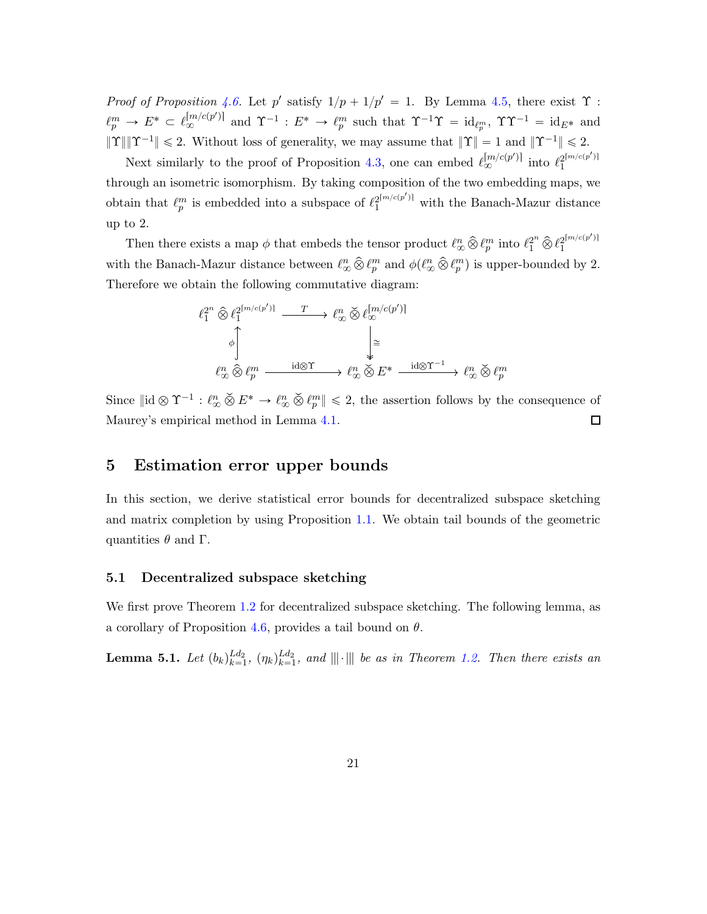*Proof of Proposition* [4.6.](#page-19-1) Let p' satisfy  $1/p + 1/p' = 1$ . By Lemma [4.5,](#page-19-2) there exist  $\Upsilon$ :  $\ell_p^m \to E^* \subset \ell_{\infty}^{\lfloor m/c(p') \rfloor}$  and  $\Upsilon^{-1} : E^* \to \ell_p^m$  such that  $\Upsilon^{-1}\Upsilon = \mathrm{id}_{\ell_p^m}$ ,  $\Upsilon \Upsilon^{-1} = \mathrm{id}_{E^*}$  and  $\|\Upsilon\|\|\Upsilon^{-1}\| \leq 2$ . Without loss of generality, we may assume that  $\|\Upsilon\| = 1$  and  $\|\Upsilon^{-1}\| \leq 2$ .

Next similarly to the proof of Proposition [4.3,](#page-18-0) one can embed  $\ell_{\infty}^{[m/c(p')]}\right.$  into  $\ell_{1}^{2^{[m/c(p')]}}$ 1 through an isometric isomorphism. By taking composition of the two embedding maps, we obtain that  $\ell_p^m$  is embedded into a subspace of  $\ell_1^{2^{\lfloor m/c(p')\rfloor}}$  with the Banach-Mazur distance up to 2.

Then there exists a map  $\phi$  that embeds the tensor product  $\ell_{\infty}^{n} \hat{\otimes} \ell_{p}^{m}$  into  $\ell_{1}^{2^{n}} \hat{\otimes} \ell_{1}^{2^{\lceil m/c(p') \rceil}}$ 1 with the Banach-Mazur distance between  $\ell_{\infty}^n \hat{\otimes} \ell_p^m$  and  $\phi(\ell_{\infty}^n \hat{\otimes} \ell_p^m)$  is upper-bounded by 2. Therefore we obtain the following commutative diagram:

$$
\begin{array}{ccc}\n\ell_1^{2^n} \widehat{\otimes} \ell_1^{2^{[m/c(p')]}} & \xrightarrow{T} & \ell_\infty^n \widehat{\otimes} \ell_\infty^{[m/c(p')]} \\
\downarrow^{\phi} & & \downarrow^{\phi} \\
\ell_\infty^n \widehat{\otimes} \ell_p^m & \xrightarrow{\mathrm{id} \otimes \Upsilon} & \ell_\infty^n \widecheck{\otimes} E^* & \xrightarrow{\mathrm{id} \otimes \Upsilon^{-1}} & \ell_\infty^n \widecheck{\otimes} \ell_p^m\n\end{array}
$$

Since  $\|\mathrm{id} \otimes \Upsilon^{-1} : \ell_{\infty}^n \otimes E^* \to \ell_{\infty}^n \otimes \ell_p^m\| \leq 2$ , the assertion follows by the consequence of Maurey's empirical method in Lemma [4.1.](#page-16-0)  $\Box$ 

## <span id="page-20-0"></span>5 Estimation error upper bounds

In this section, we derive statistical error bounds for decentralized subspace sketching and matrix completion by using Proposition [1.1.](#page-3-2) We obtain tail bounds of the geometric quantities  $\theta$  and  $\Gamma$ .

#### 5.1 Decentralized subspace sketching

We first prove Theorem [1.2](#page-4-1) for decentralized subspace sketching. The following lemma, as a corollary of Proposition [4.6,](#page-19-1) provides a tail bound on  $\theta$ .

<span id="page-20-1"></span>**Lemma 5.1.** *Let*  $(b_k)_{k=1}^{Ld_2}$  $_{k=1}^{Ld_2}$ ,  $(\eta_k)_{k=1}^{Ld_2}$  $\lim_{k=1}^{La_2}$ , and  $|||\cdot|||$  be as in Theorem [1.2.](#page-4-1) Then there exists an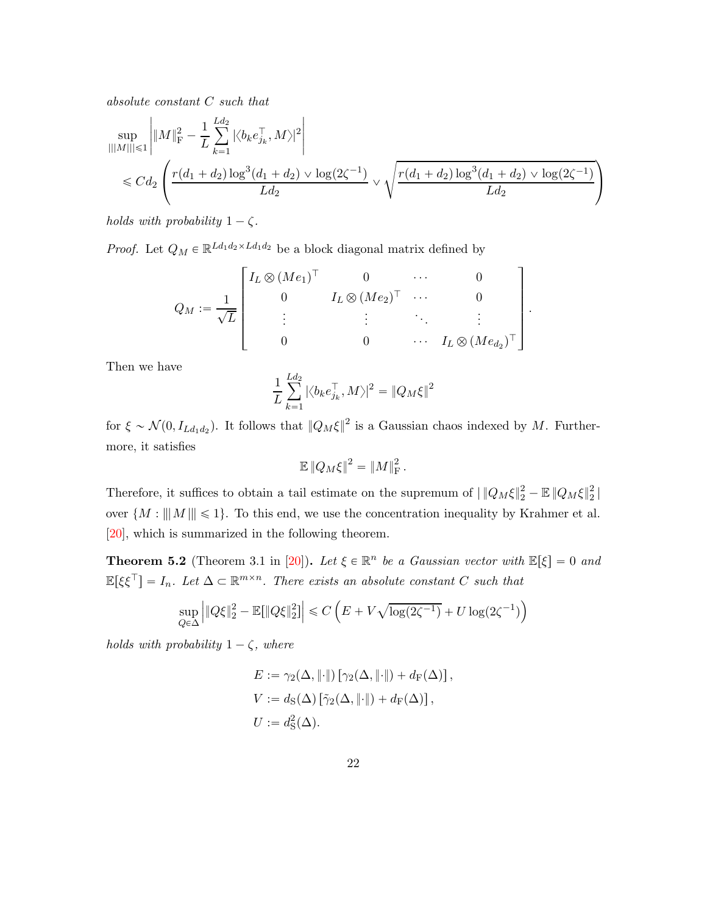*absolute constant* C *such that*

$$
\sup_{|||M|| \le 1} \left| \|M\|_{\mathrm{F}}^2 - \frac{1}{L} \sum_{k=1}^{L d_2} |\langle b_k e_{j_k}^\top, M \rangle|^2 \right|
$$
  
\$\le C d\_2 \left( \frac{r(d\_1 + d\_2) \log^3(d\_1 + d\_2) \vee \log(2\zeta^{-1})}{L d\_2} \vee \sqrt{\frac{r(d\_1 + d\_2) \log^3(d\_1 + d\_2) \vee \log(2\zeta^{-1})}{L d\_2}} \right)

*holds with probability*  $1 - \zeta$ *.* 

*Proof.* Let  $Q_M \in \mathbb{R}^{Ld_1d_2 \times Ld_1d_2}$  be a block diagonal matrix defined by

$$
Q_M := \frac{1}{\sqrt{L}} \begin{bmatrix} I_L \otimes (Me_1)^\top & 0 & \cdots & 0 \\ 0 & I_L \otimes (Me_2)^\top & \cdots & 0 \\ \vdots & \vdots & \ddots & \vdots \\ 0 & 0 & \cdots & I_L \otimes (Me_{d_2})^\top \end{bmatrix}
$$

.

Then we have

$$
\frac{1}{L}\sum_{k=1}^{Ld_2} |\langle b_k e_{j_k}^\top, M\rangle|^2 = \|Q_M\xi\|^2
$$

for  $\xi \sim \mathcal{N}(0, I_{Ld_1d_2})$ . It follows that  $||Q_M \xi||^2$  is a Gaussian chaos indexed by M. Furthermore, it satisfies

$$
\mathbb{E} \left\| Q_M \xi \right\|^2 = \left\| M \right\|_{\text{F}}^2.
$$

Therefore, it suffices to obtain a tail estimate on the supremum of  $\|Q_M\xi\|_2^2 - \mathbb{E}\|Q_M\xi\|_2^2$  $\frac{1}{2}$ over  $\{M : |||M|| \leq 1\}$ . To this end, we use the concentration inequality by Krahmer et al. [\[20\]](#page-35-3), which is summarized in the following theorem.

<span id="page-21-0"></span>**Theorem 5.2** (Theorem 3.1 in [\[20\]](#page-35-3)). Let  $\xi \in \mathbb{R}^n$  be a Gaussian vector with  $\mathbb{E}[\xi] = 0$  and  $\mathbb{E}[\xi \xi^{\top}] = I_n$ . Let  $\Delta \subset \mathbb{R}^{m \times n}$ . There exists an absolute constant C such that

$$
\sup_{Q \in \Delta} \left| \|Q\xi\|_2^2 - \mathbb{E}[\|Q\xi\|_2^2] \right| \leq C \left( E + V\sqrt{\log(2\zeta^{-1})} + U\log(2\zeta^{-1}) \right)
$$

*holds with probability*  $1 - \zeta$ *, where* 

$$
E := \gamma_2(\Delta, \|\cdot\|) [\gamma_2(\Delta, \|\cdot\|) + d_F(\Delta)],
$$
  
\n
$$
V := d_S(\Delta) [\tilde{\gamma}_2(\Delta, \|\cdot\|) + d_F(\Delta)],
$$
  
\n
$$
U := d_S^2(\Delta).
$$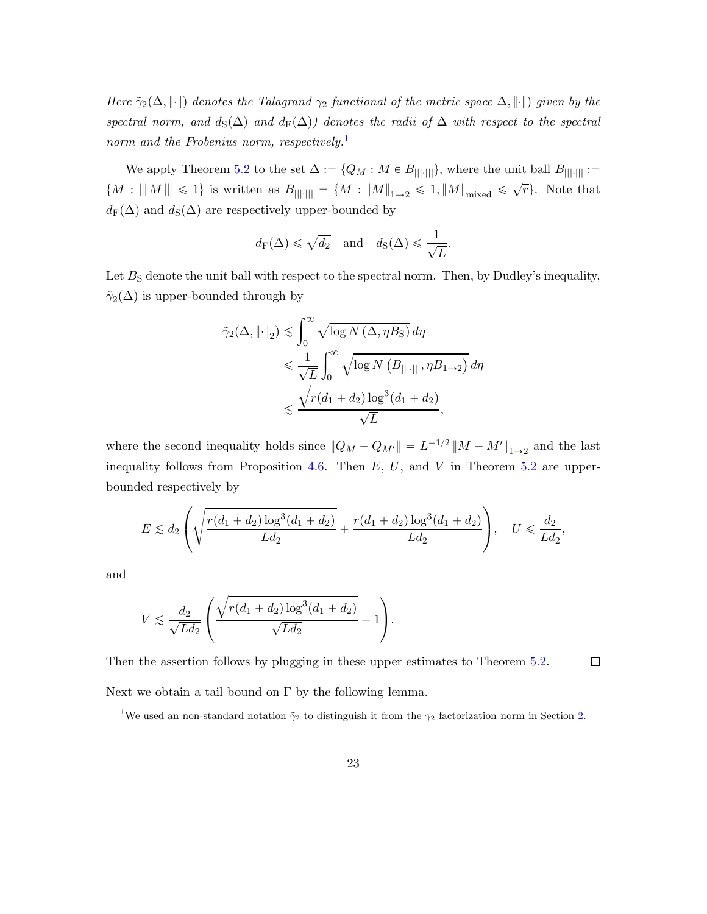*Here*  $\tilde{\gamma}_2(\Delta, \|\cdot\|)$  *denotes the Talagrand*  $\gamma_2$  *functional of the metric space*  $\Delta, \|\cdot\|$ *) given by the spectral norm, and*  $d_S(\Delta)$  *and*  $d_F(\Delta)$ *) denotes the radii of*  $\Delta$  *with respect to the spectral norm and the Frobenius norm, respectively.*[1](#page-22-0)

We apply Theorem [5.2](#page-21-0) to the set  $\Delta := \{Q_M : M \in B_{|||\cdot|||}\}\$ , where the unit ball  $B_{|||\cdot|||} :=$  ${M : ||M|| \leq 1}$  is written as  $B_{|||\cdot|||} = {M : ||M||_{1\to 2} \leq 1, ||M||_{\text{mixed}}} \leq \sqrt{r}$ . Note that  $d_F(\Delta)$  and  $d_S(\Delta)$  are respectively upper-bounded by

$$
d_{\mathcal{F}}(\Delta) \leq \sqrt{d_2}
$$
 and  $d_{\mathcal{S}}(\Delta) \leq \frac{1}{\sqrt{L}}$ .

Let  $B<sub>S</sub>$  denote the unit ball with respect to the spectral norm. Then, by Dudley's inequality,  $\tilde{\gamma}_2(\Delta)$  is upper-bounded through by

$$
\tilde{\gamma}_2(\Delta, \|\cdot\|_2) \lesssim \int_0^\infty \sqrt{\log N(\Delta, \eta B_{\rm S})} \, d\eta
$$
  
\$\leqslant \frac{1}{\sqrt{L}} \int\_0^\infty \sqrt{\log N(B\_{|||\cdot|||}, \eta B\_{1\to 2})} \, d\eta\$  
\$\leqslant \frac{\sqrt{r(d\_1 + d\_2) \log^3(d\_1 + d\_2)}}{\sqrt{L}},

where the second inequality holds since  $||Q_M - Q_{M'}|| = L^{-1/2} ||M - M'||_{1 \to 2}$  and the last inequality follows from Proposition [4.6.](#page-19-1) Then  $E, U$ , and  $V$  in Theorem [5.2](#page-21-0) are upperbounded respectively by

$$
E \lesssim d_2 \left( \sqrt{\frac{r(d_1+d_2)\log^3(d_1+d_2)}{Ld_2}} + \frac{r(d_1+d_2)\log^3(d_1+d_2)}{Ld_2} \right), \quad U \leqslant \frac{d_2}{Ld_2},
$$

and

$$
V \lesssim \frac{d_2}{\sqrt{Ld_2}} \left( \frac{\sqrt{r(d_1+d_2)\log^3(d_1+d_2)}}{\sqrt{Ld_2}} + 1 \right).
$$

Then the assertion follows by plugging in these upper estimates to Theorem [5.2.](#page-21-0)

Next we obtain a tail bound on  $\Gamma$  by the following lemma.

 $\Box$ 

<span id="page-22-0"></span><sup>&</sup>lt;sup>1</sup>We used an non-standard notation  $\tilde{\gamma}_2$  to distinguish it from the  $\gamma_2$  factorization norm in Section [2.](#page-9-0)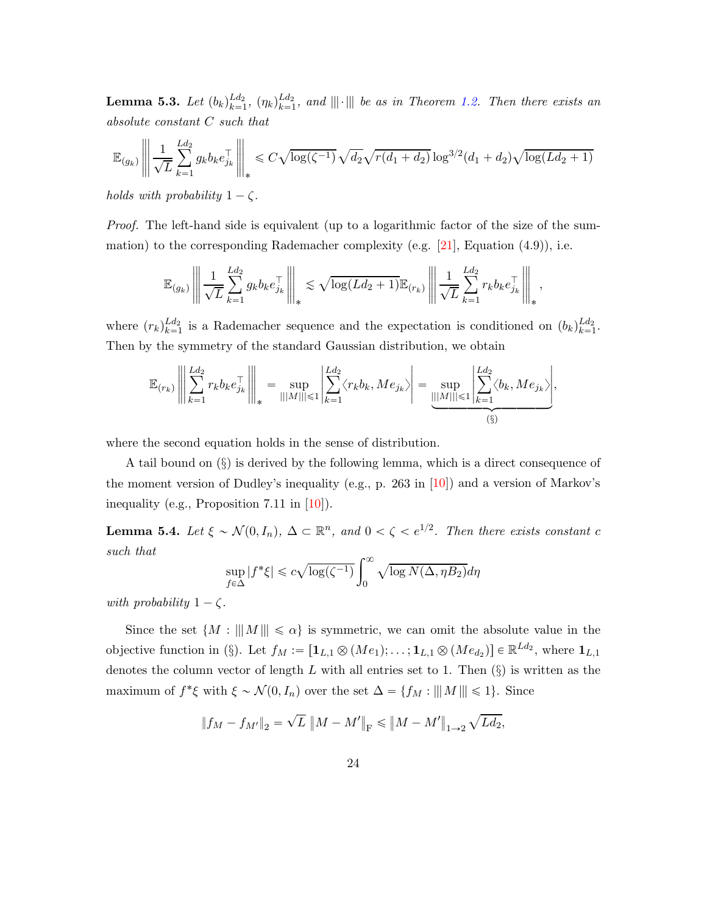<span id="page-23-1"></span> $\textbf{Lemma 5.3.} \ \textit{Let} \ { (b_k) }_{k=1}^{Ld_2}$  $_{k=1}^{Ld_2}$ ,  $(\eta_k)_{k=1}^{Ld_2}$  $\lim_{k=1}^{La_2}$ , and  $|||\cdot|||$  be as in Theorem [1.2.](#page-4-1) Then there exists an *absolute constant* C *such that*

$$
\mathbb{E}_{(g_k)} \left\| \frac{1}{\sqrt{L}} \sum_{k=1}^{L d_2} g_k b_k e_{j_k}^\top \right\|_* \leq C \sqrt{\log(\zeta^{-1})} \sqrt{d_2} \sqrt{r(d_1 + d_2)} \log^{3/2} (d_1 + d_2) \sqrt{\log(Ld_2 + 1)}
$$

*holds with probability*  $1 - \zeta$ *.* 

*Proof.* The left-hand side is equivalent (up to a logarithmic factor of the size of the sum-mation) to the corresponding Rademacher complexity (e.g. [\[21](#page-35-4)], Equation  $(4.9)$ ), i.e.

$$
\mathbb{E}_{(g_k)} \left\| \left\| \frac{1}{\sqrt{L}} \sum_{k=1}^{L d_2} g_k b_k e_{j_k}^{\top} \right\|_{*} \lesssim \sqrt{\log(L d_2 + 1)} \mathbb{E}_{(r_k)} \left\| \frac{1}{\sqrt{L}} \sum_{k=1}^{L d_2} r_k b_k e_{j_k}^{\top} \right\|_{*},
$$

where  $(r_k)_{k=1}^{Ld_2}$  $\mu_{k=1}^{Ld_2}$  is a Rademacher sequence and the expectation is conditioned on  $(b_k)_{k=1}^{Ld_2}$  $\lim_{k=1}$ . Then by the symmetry of the standard Gaussian distribution, we obtain

$$
\mathbb{E}_{(r_k)} \left\| \sum_{k=1}^{L d_2} r_k b_k e_{j_k}^{\top} \right\|_{*} = \sup_{|||M||| \leq 1} \left| \sum_{k=1}^{L d_2} \langle r_k b_k, M e_{j_k} \rangle \right| = \sup_{|||M||| \leq 1} \left| \sum_{k=1}^{L d_2} \langle b_k, M e_{j_k} \rangle \right|,
$$
\n(§)

where the second equation holds in the sense of distribution.

A tail bound on (§) is derived by the following lemma, which is a direct consequence of the moment version of Dudley's inequality (e.g., p. 263 in  $[10]$ ) and a version of Markov's inequality (e.g., Proposition 7.11 in [\[10](#page-34-7)]).

<span id="page-23-0"></span>**Lemma 5.4.** Let  $\xi \sim \mathcal{N}(0, I_n)$ ,  $\Delta \subset \mathbb{R}^n$ , and  $0 < \zeta < e^{1/2}$ . Then there exists constant c *such that*

$$
\sup_{f \in \Delta} |f^* \xi| \le c \sqrt{\log(\zeta^{-1})} \int_0^\infty \sqrt{\log N(\Delta, \eta B_2)} d\eta
$$

*with probability*  $1 - \zeta$ *.* 

Since the set  $\{M : |||M||| \leq \alpha\}$  is symmetric, we can omit the absolute value in the objective function in (§). Let  $f_M := [\mathbf{1}_{L,1} \otimes (Me_1); \dots; \mathbf{1}_{L,1} \otimes (Me_{d_2})] \in \mathbb{R}^{Ld_2}$ , where  $\mathbf{1}_{L,1}$ denotes the column vector of length  $L$  with all entries set to 1. Then  $(\S)$  is written as the maximum of  $f^*\xi$  with  $\xi \sim \mathcal{N}(0, I_n)$  over the set  $\Delta = \{f_M : |||M|| \leq 1\}$ . Since

$$
\|f_M - f_{M'}\|_2 = \sqrt{L} \|M - M'\|_{\rm F} \le \|M - M'\|_{1 \to 2} \sqrt{L d_2},
$$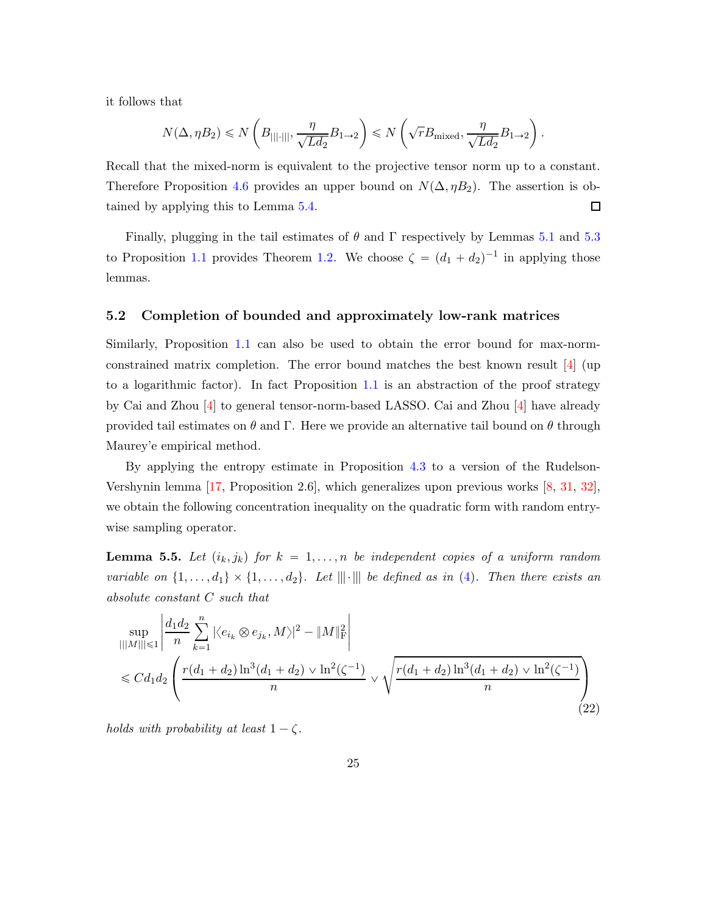it follows that

$$
N(\Delta, \eta B_2) \le N\left(B_{\text{||}:\text{||}|}, \frac{\eta}{\sqrt{Ld_2}}B_{1\rightarrow 2}\right) \le N\left(\sqrt{r}B_{\text{mixed}}, \frac{\eta}{\sqrt{Ld_2}}B_{1\rightarrow 2}\right).
$$

Recall that the mixed-norm is equivalent to the projective tensor norm up to a constant. Therefore Proposition [4.6](#page-19-1) provides an upper bound on  $N(\Delta, \eta B_2)$ . The assertion is obtained by applying this to Lemma [5.4.](#page-23-0) 口

Finally, plugging in the tail estimates of  $\theta$  and  $\Gamma$  respectively by Lemmas [5.1](#page-20-1) and [5.3](#page-23-1) to Proposition [1.1](#page-3-2) provides Theorem [1.2.](#page-4-1) We choose  $\zeta = (d_1 + d_2)^{-1}$  in applying those lemmas.

#### 5.2 Completion of bounded and approximately low-rank matrices

Similarly, Proposition [1.1](#page-3-2) can also be used to obtain the error bound for max-normconstrained matrix completion. The error bound matches the best known result [\[4](#page-34-0)] (up to a logarithmic factor). In fact Proposition [1.1](#page-3-2) is an abstraction of the proof strategy by Cai and Zhou [\[4](#page-34-0)] to general tensor-norm-based LASSO. Cai and Zhou [\[4](#page-34-0)] have already provided tail estimates on  $\theta$  and Γ. Here we provide an alternative tail bound on  $\theta$  through Maurey'e empirical method.

By applying the entropy estimate in Proposition [4.3](#page-18-0) to a version of the Rudelson-Vershynin lemma [\[17](#page-35-0), Proposition 2.6], which generalizes upon previous works [\[8,](#page-34-8) [31](#page-36-7), [32](#page-37-5)], we obtain the following concentration inequality on the quadratic form with random entrywise sampling operator.

<span id="page-24-1"></span>**Lemma 5.5.** Let  $(i_k, j_k)$  for  $k = 1, ..., n$  be independent copies of a uniform random *variable on*  $\{1, \ldots, d_1\} \times \{1, \ldots, d_2\}$ . Let  $\|\cdot\|$  be defined as in [\(4\)](#page-3-3). Then there exists an *absolute constant* C *such that*

<span id="page-24-0"></span>
$$
\sup_{|||M|| \le 1} \left| \frac{d_1 d_2}{n} \sum_{k=1}^n |\langle e_{i_k} \otimes e_{j_k}, M \rangle|^2 - \|M\|_{\mathrm{F}}^2 \right|
$$
  
\$\le C d\_1 d\_2 \left( \frac{r(d\_1 + d\_2) \ln^3(d\_1 + d\_2) \vee \ln^2(\zeta^{-1})}{n} \vee \sqrt{\frac{r(d\_1 + d\_2) \ln^3(d\_1 + d\_2) \vee \ln^2(\zeta^{-1})}{n}} \right) \tag{22}

*holds with probability at least*  $1 - \zeta$ *.*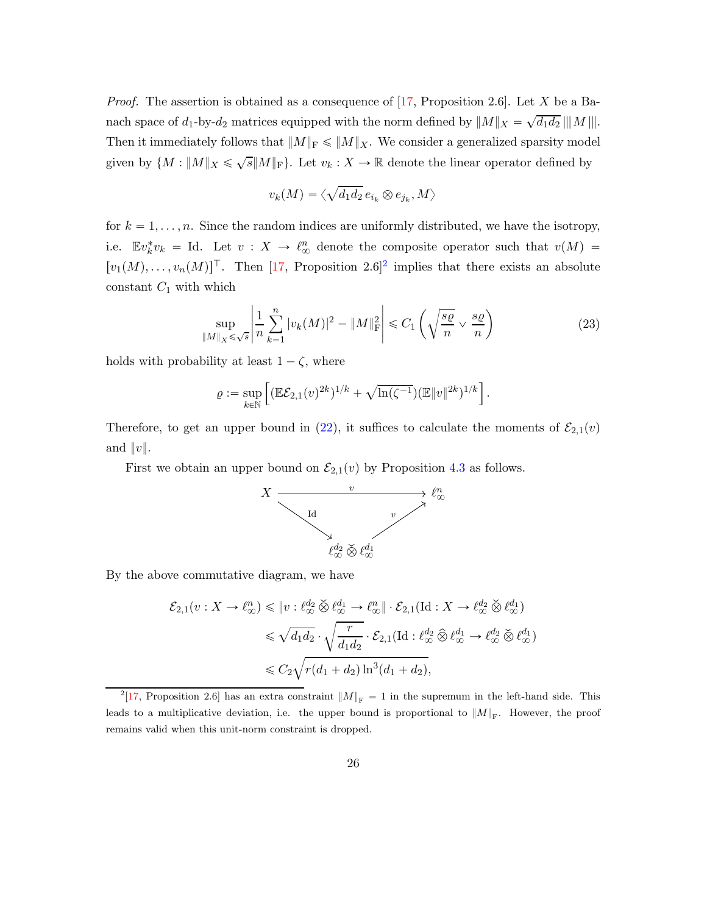*Proof.* The assertion is obtained as a consequence of [\[17,](#page-35-0) Proposition 2.6]. Let X be a Banach space of  $d_1$ -by- $d_2$  matrices equipped with the norm defined by  $||M||_X = \sqrt{d_1 d_2} || ||M|| ||.$ Then it immediately follows that  $||M||_F \le ||M||_X$ . We consider a generalized sparsity model given by  $\{M : ||M||_X \leq \sqrt{s}||M||_F\}$ . Let  $v_k : X \to \mathbb{R}$  denote the linear operator defined by

$$
v_k(M)=\langle \sqrt{d_1d_2}\,e_{i_k}\otimes e_{j_k},M\rangle
$$

for  $k = 1, \ldots, n$ . Since the random indices are uniformly distributed, we have the isotropy, i.e.  $\mathbb{E}v_k^*v_k = \text{Id.}$  Let  $v: X \to \ell_\infty^n$  denote the composite operator such that  $v(M) =$  $[v_1(M), \ldots, v_n(M)]^{\top}$ . Then [\[17](#page-35-0), Proposition [2](#page-25-0).6]<sup>2</sup> implies that there exists an absolute constant  $C_1$  with which

<span id="page-25-1"></span>
$$
\sup_{\|M\|_{X}\leq\sqrt{s}}\left|\frac{1}{n}\sum_{k=1}^{n}|v_{k}(M)|^{2}-\|M\|_{\mathrm{F}}^{2}\right|\leq C_{1}\left(\sqrt{\frac{s\varrho}{n}}\vee\frac{s\varrho}{n}\right)
$$
(23)

holds with probability at least  $1 - \zeta$ , where

$$
\varrho := \sup_{k \in \mathbb{N}} \left[ (\mathbb{E} \mathcal{E}_{2,1}(v)^{2k})^{1/k} + \sqrt{\ln(\zeta^{-1})} (\mathbb{E} \|v\|^{2k})^{1/k} \right].
$$

Therefore, to get an upper bound in [\(22\)](#page-24-0), it suffices to calculate the moments of  $\mathcal{E}_{2,1}(v)$ and  $||v||$ .

First we obtain an upper bound on  $\mathcal{E}_{2,1}(v)$  by Proposition [4.3](#page-18-0) as follows.



By the above commutative diagram, we have

$$
\mathcal{E}_{2,1}(v: X \to \ell^n_{\infty}) \leq \|v: \ell^{d_2}_{\infty} \check{\otimes} \ell^{d_1}_{\infty} \to \ell^n_{\infty} \| \cdot \mathcal{E}_{2,1}(\text{Id}: X \to \ell^{d_2}_{\infty} \check{\otimes} \ell^{d_1}_{\infty})
$$
  

$$
\leq \sqrt{d_1 d_2} \cdot \sqrt{\frac{r}{d_1 d_2}} \cdot \mathcal{E}_{2,1}(\text{Id}: \ell^{d_2}_{\infty} \hat{\otimes} \ell^{d_1}_{\infty} \to \ell^{d_2}_{\infty} \check{\otimes} \ell^{d_1}_{\infty})
$$
  

$$
\leq C_2 \sqrt{r(d_1 + d_2) \ln^3(d_1 + d_2)},
$$

<span id="page-25-0"></span><sup>&</sup>lt;sup>2</sup>[\[17](#page-35-0), Proposition 2.6] has an extra constraint  $||M||_F = 1$  in the supremum in the left-hand side. This leads to a multiplicative deviation, i.e. the upper bound is proportional to  $||M||_F$ . However, the proof remains valid when this unit-norm constraint is dropped.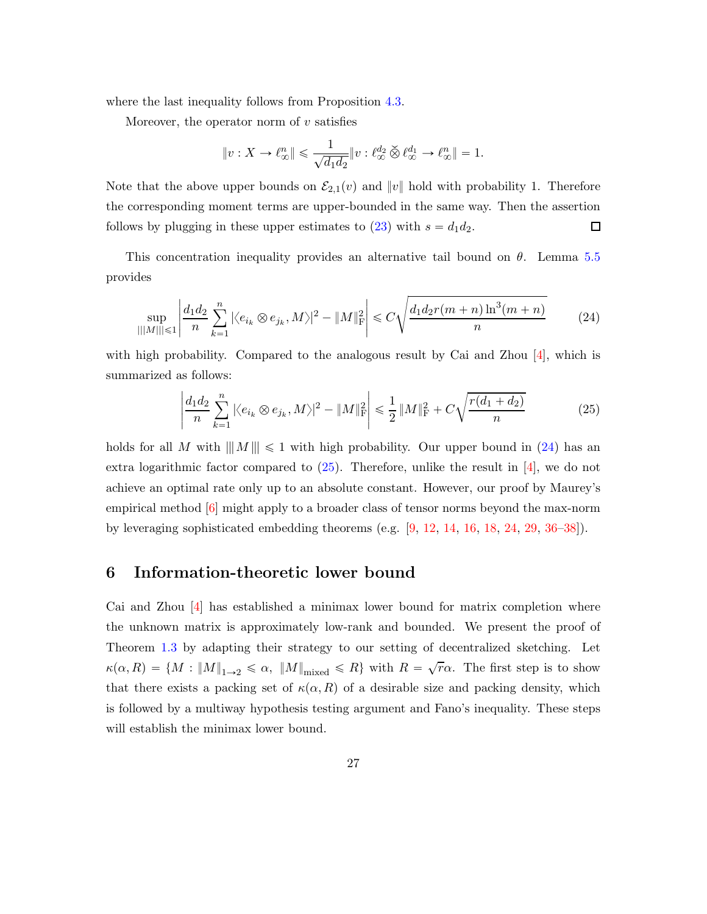where the last inequality follows from Proposition [4.3.](#page-18-0)

Moreover, the operator norm of  $v$  satisfies

<span id="page-26-1"></span>
$$
\|v:X\to \ell_\infty^n\|\leqslant \frac{1}{\sqrt{d_1d_2}}\|v:\ell_\infty^{d_2}\overset{\prec}{\otimes} \ell_\infty^{d_1}\to \ell_\infty^n\|=1.
$$

Note that the above upper bounds on  $\mathcal{E}_{2,1}(v)$  and  $||v||$  hold with probability 1. Therefore the corresponding moment terms are upper-bounded in the same way. Then the assertion follows by plugging in these upper estimates to [\(23\)](#page-25-1) with  $s = d_1 d_2$ .  $\Box$ 

This concentration inequality provides an alternative tail bound on  $\theta$ . Lemma [5.5](#page-24-1) provides

$$
\sup_{|||M|| \le 1} \left| \frac{d_1 d_2}{n} \sum_{k=1}^n |\langle e_{i_k} \otimes e_{j_k}, M \rangle|^2 - \|M\|_{\mathcal{F}}^2 \right| \le C \sqrt{\frac{d_1 d_2 r(m+n) \ln^3(m+n)}{n}} \tag{24}
$$

with high probability. Compared to the analogous result by Cai and Zhou  $[4]$ , which is summarized as follows:

<span id="page-26-2"></span>
$$
\left| \frac{d_1 d_2}{n} \sum_{k=1}^n |\langle e_{i_k} \otimes e_{j_k}, M \rangle|^2 - \|M\|_{\mathcal{F}}^2 \right| \le \frac{1}{2} \|M\|_{\mathcal{F}}^2 + C\sqrt{\frac{r(d_1 + d_2)}{n}} \tag{25}
$$

holds for all M with  $||M|| \leq 1$  with high probability. Our upper bound in [\(24\)](#page-26-1) has an extra logarithmic factor compared to  $(25)$ . Therefore, unlike the result in [\[4\]](#page-34-0), we do not achieve an optimal rate only up to an absolute constant. However, our proof by Maurey's empirical method  $\left|6\right|$  might apply to a broader class of tensor norms beyond the max-norm by leveraging sophisticated embedding theorems (e.g.  $[9, 12, 14, 16, 18, 24, 29, 36-38]$  $[9, 12, 14, 16, 18, 24, 29, 36-38]$  $[9, 12, 14, 16, 18, 24, 29, 36-38]$  $[9, 12, 14, 16, 18, 24, 29, 36-38]$  $[9, 12, 14, 16, 18, 24, 29, 36-38]$  $[9, 12, 14, 16, 18, 24, 29, 36-38]$  $[9, 12, 14, 16, 18, 24, 29, 36-38]$  $[9, 12, 14, 16, 18, 24, 29, 36-38]$  $[9, 12, 14, 16, 18, 24, 29, 36-38]$  $[9, 12, 14, 16, 18, 24, 29, 36-38]$  $[9, 12, 14, 16, 18, 24, 29, 36-38]$  $[9, 12, 14, 16, 18, 24, 29, 36-38]$  $[9, 12, 14, 16, 18, 24, 29, 36-38]$  $[9, 12, 14, 16, 18, 24, 29, 36-38]$  $[9, 12, 14, 16, 18, 24, 29, 36-38]$ ).

## <span id="page-26-0"></span>6 Information-theoretic lower bound

Cai and Zhou [\[4](#page-34-0)] has established a minimax lower bound for matrix completion where the unknown matrix is approximately low-rank and bounded. We present the proof of Theorem [1.3](#page-5-3) by adapting their strategy to our setting of decentralized sketching. Let  $\kappa(\alpha, R) = \{M : ||M||_{1 \to 2} \le \alpha, ||M||_{\text{mixed}} \le R\}$  with  $R = \sqrt{r\alpha}$ . The first step is to show that there exists a packing set of  $\kappa(\alpha, R)$  of a desirable size and packing density, which is followed by a multiway hypothesis testing argument and Fano's inequality. These steps will establish the minimax lower bound.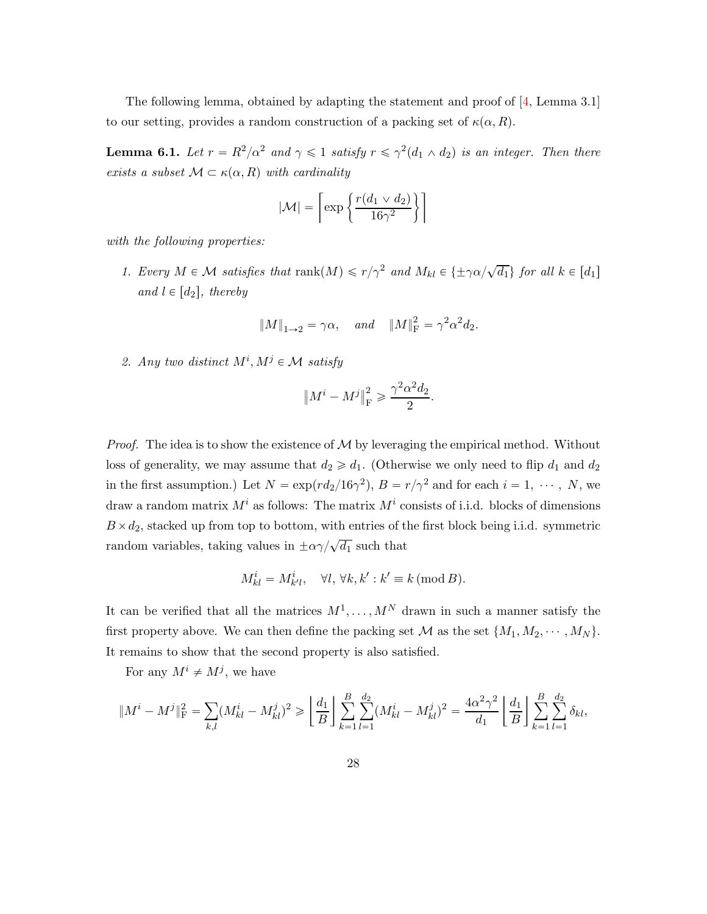The following lemma, obtained by adapting the statement and proof of  $[4, \text{Lemma } 3.1]$ to our setting, provides a random construction of a packing set of  $\kappa(\alpha, R)$ .

**Lemma 6.1.** Let  $r = R^2/\alpha^2$  and  $\gamma \leq 1$  satisfy  $r \leq \gamma^2(d_1 \wedge d_2)$  is an integer. Then there *exists a subset*  $M \subset \kappa(\alpha, R)$  *with cardinality* 

$$
|\mathcal{M}| = \left\lceil \exp\left\{\frac{r(d_1 \vee d_2)}{16\gamma^2}\right\} \right\rceil
$$

*with the following properties:*

*1. Every*  $M \in \mathcal{M}$  *satisfies that*  $\text{rank}(M) \leq r/\gamma^2$  *and*  $M_{kl} \in \{\pm \gamma \alpha/\sqrt{d_1}\}$  *for all*  $k \in [d_1]$ *and*  $l \in [d_2]$ *, thereby* 

$$
||M||_{1\to 2} = \gamma \alpha
$$
, and  $||M||_{\text{F}}^2 = \gamma^2 \alpha^2 d_2$ .

<span id="page-27-0"></span>2. Any two distinct  $M^i, M^j \in \mathcal{M}$  satisfy

$$
\left\|M^{i}-M^{j}\right\|_{\mathcal{F}}^{2} \geqslant \frac{\gamma^{2}\alpha^{2}d_{2}}{2}.
$$

*Proof.* The idea is to show the existence of  $M$  by leveraging the empirical method. Without loss of generality, we may assume that  $d_2 \geq d_1$ . (Otherwise we only need to flip  $d_1$  and  $d_2$ in the first assumption.) Let  $N = \exp(r d_2/16\gamma^2)$ ,  $B = r/\gamma^2$  and for each  $i = 1, \dots, N$ , we draw a random matrix  $M^i$  as follows: The matrix  $M^i$  consists of i.i.d. blocks of dimensions  $B \times d_2$ , stacked up from top to bottom, with entries of the first block being i.i.d. symmetric random variables, taking values in  $\pm \alpha \gamma / \sqrt{d_1}$  such that

$$
M_{kl}^i = M_{k'l}^i, \quad \forall l, \forall k, k' : k' \equiv k \, (\text{mod } B).
$$

It can be verified that all the matrices  $M^1, \ldots, M^N$  drawn in such a manner satisfy the first property above. We can then define the packing set M as the set  $\{M_1, M_2, \cdots, M_N\}$ . It remains to show that the second property is also satisfied.

For any  $M^i \neq M^j$ , we have

$$
||M^{i} - M^{j}||_{\mathrm{F}}^{2} = \sum_{k,l} (M_{kl}^{i} - M_{kl}^{j})^{2} \ge \left[ \frac{d_{1}}{B} \right] \sum_{k=1}^{B} \sum_{l=1}^{d_{2}} (M_{kl}^{i} - M_{kl}^{j})^{2} = \frac{4\alpha^{2}\gamma^{2}}{d_{1}} \left[ \frac{d_{1}}{B} \right] \sum_{k=1}^{B} \sum_{l=1}^{d_{2}} \delta_{kl},
$$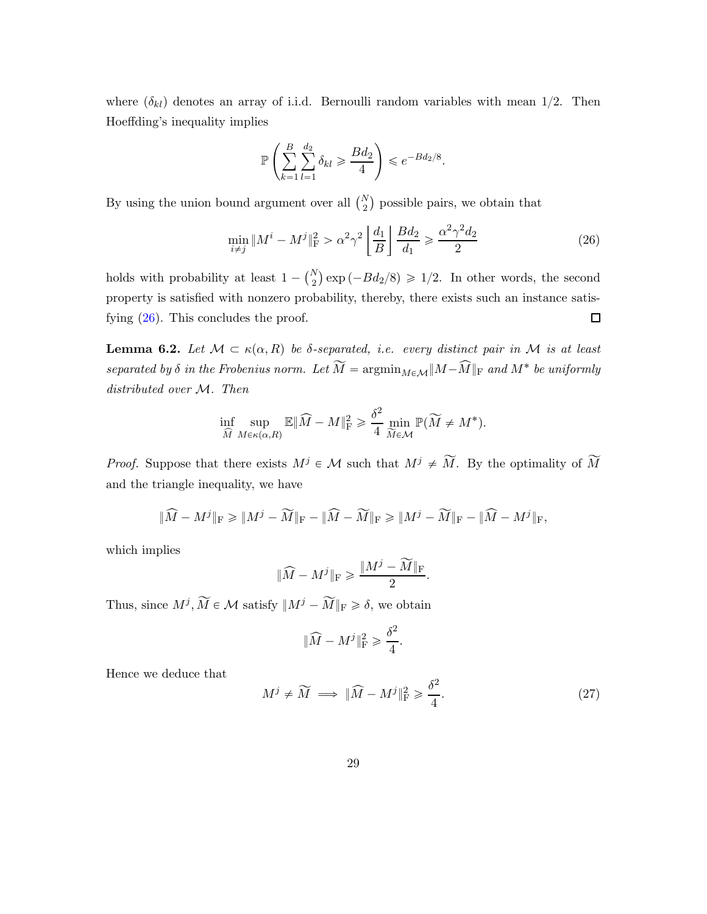where  $(\delta_{kl})$  denotes an array of i.i.d. Bernoulli random variables with mean 1/2. Then Hoeffding's inequality implies

<span id="page-28-0"></span>
$$
\mathbb{P}\left(\sum_{k=1}^B \sum_{l=1}^{d_2} \delta_{kl} \ge \frac{Bd_2}{4}\right) \le e^{-Bd_2/8}.
$$

By using the union bound argument over all  $\binom{N}{2}$  possible pairs, we obtain that

$$
\min_{i \neq j} \|M^i - M^j\|_{\mathcal{F}}^2 > \alpha^2 \gamma^2 \left[ \frac{d_1}{B} \right] \frac{B d_2}{d_1} \ge \frac{\alpha^2 \gamma^2 d_2}{2} \tag{26}
$$

holds with probability at least  $1 - {N \choose 2} \exp(-Bd_2/8) \geq 1/2$ . In other words, the second property is satisfied with nonzero probability, thereby, there exists such an instance satisfying [\(26\)](#page-28-0). This concludes the proof.  $\Box$ 

**Lemma 6.2.** Let  $M \subset \kappa(\alpha, R)$  be  $\delta$ -separated, i.e. every distinct pair in M is at least *separated by*  $\delta$  *in the Frobenius norm. Let*  $M = \text{argmin}_{M \in \mathcal{M}} \|M - M\|_{\text{F}}$  *and*  $M^*$  *be uniformly distributed over* M*. Then*

$$
\inf_{\widehat{M}} \sup_{M \in \kappa(\alpha, R)} \mathbb{E} \|\widehat{M} - M\|_{\mathrm{F}}^2 \geq \frac{\delta^2}{4} \min_{\widetilde{M} \in \mathcal{M}} \mathbb{P}(\widetilde{M} \neq M^*).
$$

*Proof.* Suppose that there exists  $M^j \in \mathcal{M}$  such that  $M^j \neq \widetilde{M}$ . By the optimality of  $\widetilde{M}$ and the triangle inequality, we have

$$
\|\widehat{M} - M^{j}\|_{\mathrm{F}} \ge \|M^{j} - \widetilde{M}\|_{\mathrm{F}} - \|\widehat{M} - \widetilde{M}\|_{\mathrm{F}} \ge \|M^{j} - \widetilde{M}\|_{\mathrm{F}} - \|\widehat{M} - M^{j}\|_{\mathrm{F}},
$$

which implies

$$
\|\widehat{M} - M^j\|_{\rm F} \geqslant \frac{\|M^j - \widetilde{M}\|_{\rm F}}{2}
$$

Thus, since  $M^j$ ,  $\widetilde{M} \in \mathcal{M}$  satisfy  $||M^j - \widetilde{M}||_F \ge \delta$ , we obtain

$$
\|\widehat{M} - M^j\|_{\mathcal{F}}^2 \ge \frac{\delta^2}{4}.
$$

Hence we deduce that

<span id="page-28-1"></span>
$$
M^{j} \neq \widetilde{M} \implies \|\widehat{M} - M^{j}\|_{\mathrm{F}}^{2} \geq \frac{\delta^{2}}{4}.\tag{27}
$$

.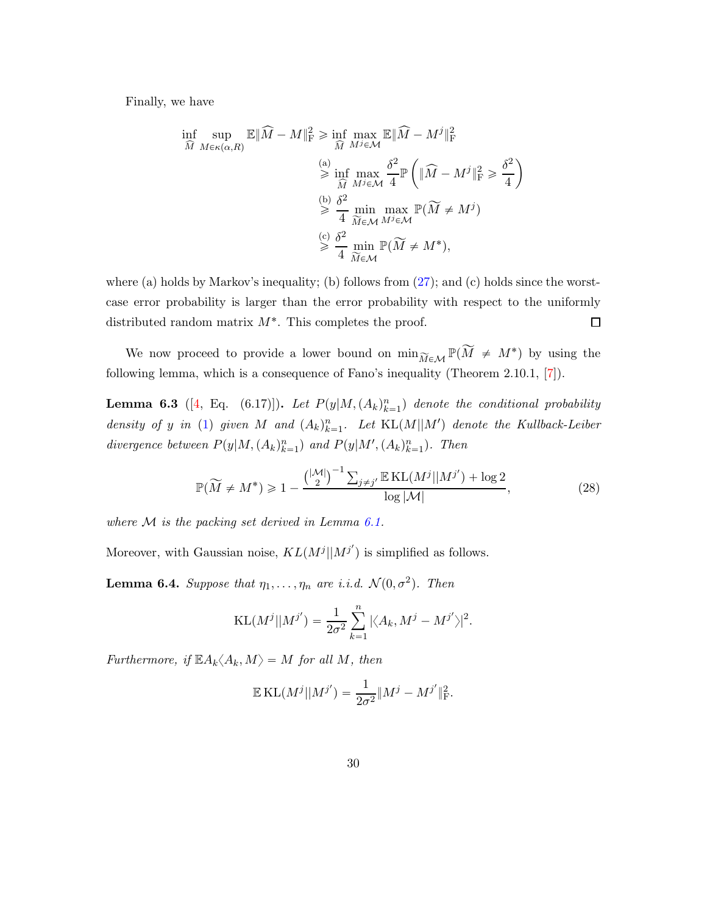Finally, we have

$$
\inf_{\widehat{M}} \sup_{M \in \kappa(\alpha, R)} \mathbb{E} \|\widehat{M} - M\|_{\mathrm{F}}^2 \ge \inf_{\widehat{M}} \max_{M^j \in \mathcal{M}} \mathbb{E} \|\widehat{M} - M^j\|_{\mathrm{F}}^2
$$
\n
$$
\ge \inf_{\widehat{M}} \max_{M^j \in \mathcal{M}} \frac{\delta^2}{4} \mathbb{P} \left( \|\widehat{M} - M^j\|_{\mathrm{F}}^2 \ge \frac{\delta^2}{4} \right)
$$
\n
$$
\ge \frac{b}{4} \min_{\widetilde{M} \in \mathcal{M}} \max_{M^j \in \mathcal{M}} \mathbb{P}(\widetilde{M} \ne M^j)
$$
\n
$$
\ge \frac{c}{4} \min_{\widetilde{M} \in \mathcal{M}} \mathbb{P}(\widetilde{M} \ne M^*),
$$

where (a) holds by Markov's inequality; (b) follows from  $(27)$ ; and (c) holds since the worstcase error probability is larger than the error probability with respect to the uniformly  $\Box$ distributed random matrix  $M^*$ . This completes the proof.

We now proceed to provide a lower bound on  $\min_{\widetilde{M} \in \mathcal{M}} \mathbb{P}(\widetilde{M} \neq M^*)$  by using the following lemma, which is a consequence of Fano's inequality (Theorem 2.10.1, [\[7](#page-34-10)]).

**Lemma 6.3** ([\[4](#page-34-0), Eq. (6.17)]). Let  $P(y|M,(A_k)_{k=1}^n)$  denote the conditional probability density of y in [\(1\)](#page-1-0) given M and  $(A_k)_{k=1}^n$ . Let  $KL(M||M')$  denote the Kullback-Leiber divergence between  $P(y|M,(A_k)_{k=1}^n)$  and  $P(y|M',(A_k)_{k=1}^n)$ . Then

$$
\mathbb{P}(\widetilde{M} \neq M^*) \geq 1 - \frac{\binom{|\mathcal{M}|}{2}^{-1} \sum_{j \neq j'} \mathbb{E} \operatorname{KL}(M^j || M^{j'}) + \log 2}{\log |\mathcal{M}|},\tag{28}
$$

*where* M *is the packing set derived in Lemma [6.1.](#page-27-0)*

Moreover, with Gaussian noise,  $KL(M^{j}||M^{j'})$  is simplified as follows.

**Lemma 6.4.** *Suppose that*  $\eta_1, \ldots, \eta_n$  *are i.i.d.*  $\mathcal{N}(0, \sigma^2)$ *. Then* 

<span id="page-29-0"></span>
$$
KL(M^{j}||M^{j'}) = \frac{1}{2\sigma^2} \sum_{k=1}^n |\langle A_k, M^{j} - M^{j'} \rangle|^2.
$$

*Furthermore, if*  $\mathbb{E} A_k \langle A_k, M \rangle = M$  *for all* M, then

$$
\mathbb{E} \, \text{KL}(M^j || M^{j'}) = \frac{1}{2\sigma^2} || M^j - M^{j'} ||^2_{\text{F}}.
$$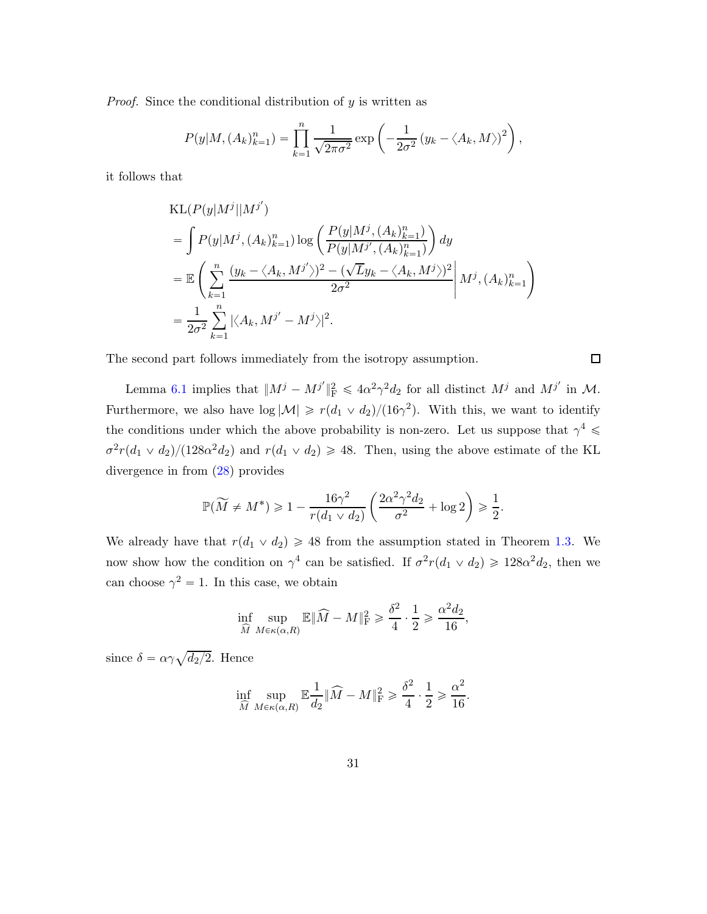*Proof.* Since the conditional distribution of y is written as

$$
P(y|M,(A_k)_{k=1}^n) = \prod_{k=1}^n \frac{1}{\sqrt{2\pi\sigma^2}} \exp\left(-\frac{1}{2\sigma^2} (y_k - \langle A_k, M \rangle)^2\right),
$$

it follows that

$$
KL(P(y|M^j||M^{j'})
$$
  
=  $\int P(y|M^j, (A_k)_{k=1}^n) \log \left( \frac{P(y|M^j, (A_k)_{k=1}^n)}{P(y|M^j', (A_k)_{k=1}^n)} \right) dy$   
=  $\mathbb{E} \left( \sum_{k=1}^n \frac{(y_k - \langle A_k, M^{j'} \rangle)^2 - (\sqrt{L}y_k - \langle A_k, M^{j'} \rangle)^2}{2\sigma^2} \middle| M^j, (A_k)_{k=1}^n \right)$   
=  $\frac{1}{2\sigma^2} \sum_{k=1}^n |\langle A_k, M^{j'} - M^{j} \rangle|^2$ .

The second part follows immediately from the isotropy assumption.

Lemma [6.1](#page-27-0) implies that  $||M^j - M^{j'}||_F^2 \le 4\alpha^2\gamma^2 d_2$  for all distinct  $M^j$  and  $M^{j'}$  in  $\mathcal{M}$ . Furthermore, we also have  $\log |\mathcal{M}| \geq r(d_1 \vee d_2)/(16\gamma^2)$ . With this, we want to identify the conditions under which the above probability is non-zero. Let us suppose that  $\gamma^4 \leq$  $\sigma^2 r(d_1 \vee d_2)/(128\alpha^2 d_2)$  and  $r(d_1 \vee d_2) \ge 48$ . Then, using the above estimate of the KL divergence in from [\(28\)](#page-29-0) provides

$$
\mathbb{P}(\widetilde{M} \neq M^*) \geq 1 - \frac{16\gamma^2}{r(d_1 \vee d_2)} \left(\frac{2\alpha^2 \gamma^2 d_2}{\sigma^2} + \log 2\right) \geq \frac{1}{2}.
$$

We already have that  $r(d_1 \vee d_2) \ge 48$  from the assumption stated in Theorem [1.3.](#page-5-3) We now show how the condition on  $\gamma^4$  can be satisfied. If  $\sigma^2 r(d_1 \vee d_2) \geq 128\alpha^2 d_2$ , then we can choose  $\gamma^2 = 1$ . In this case, we obtain

$$
\inf_{\widehat{M}} \sup_{M \in \kappa(\alpha, R)} \mathbb{E} \|\widehat{M} - M\|_{\mathrm{F}}^2 \geq \frac{\delta^2}{4} \cdot \frac{1}{2} \geq \frac{\alpha^2 d_2}{16},
$$

since  $\delta = \alpha \gamma \sqrt{d_2/2}$ . Hence

$$
\inf_{\widehat{M}} \sup_{M \in \kappa(\alpha, R)} \mathbb{E} \frac{1}{d_2} \| \widehat{M} - M \|_{\mathrm{F}}^2 \ge \frac{\delta^2}{4} \cdot \frac{1}{2} \ge \frac{\alpha^2}{16}.
$$

 $\Box$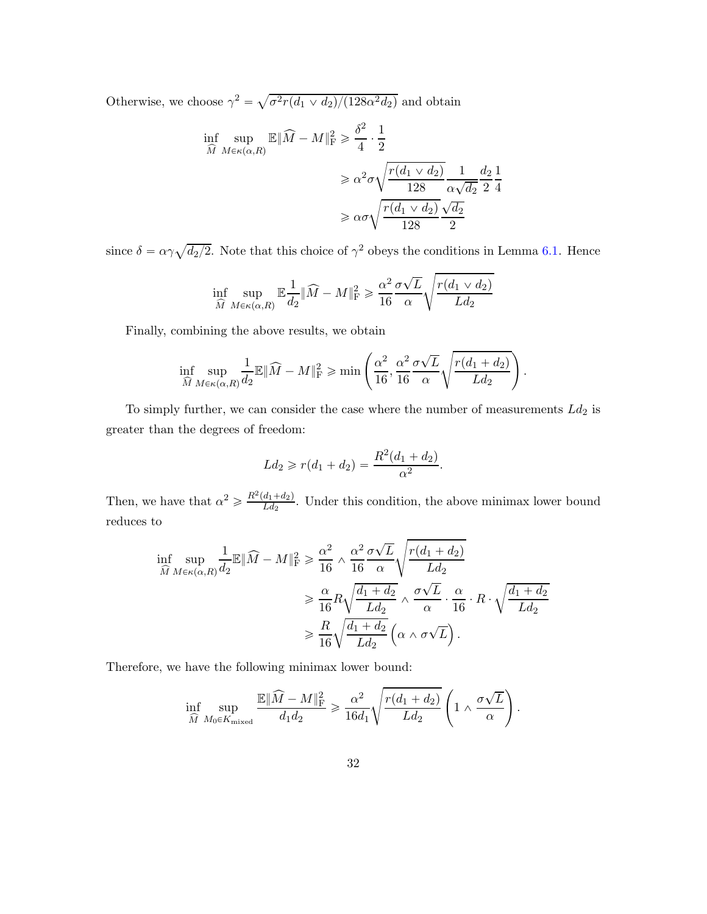Otherwise, we choose  $\gamma^2 = \sqrt{\sigma^2 r (d_1 \vee d_2)/(128 \alpha^2 d_2)}$  and obtain

$$
\inf_{\widehat{M}} \sup_{M \in \kappa(\alpha, R)} \mathbb{E} \|\widehat{M} - M\|_{\mathrm{F}}^2 \ge \frac{\delta^2}{4} \cdot \frac{1}{2}
$$
\n
$$
\ge \alpha^2 \sigma \sqrt{\frac{r(d_1 \vee d_2)}{128}} \frac{1}{\alpha \sqrt{d_2}} \frac{d_2}{2} \frac{1}{4}
$$
\n
$$
\ge \alpha \sigma \sqrt{\frac{r(d_1 \vee d_2)}{128}} \frac{\sqrt{d_2}}{2}
$$

since  $\delta = \alpha \gamma \sqrt{d_2/2}$ . Note that this choice of  $\gamma^2$  obeys the conditions in Lemma [6.1.](#page-27-0) Hence

$$
\inf_{\widehat{M}} \sup_{M \in \kappa(\alpha, R)} \mathbb{E} \frac{1}{d_2} \| \widehat{M} - M \|_{\mathrm{F}}^2 \geq \frac{\alpha^2}{16} \frac{\sigma \sqrt{L}}{\alpha} \sqrt{\frac{r(d_1 \vee d_2)}{L d_2}}
$$

Finally, combining the above results, we obtain

$$
\inf_{\widehat{M}}\sup_{M\in\kappa(\alpha,R)}\frac{1}{d_2}\mathbb{E}\|\widehat{M}-M\|_{\mathrm{F}}^2\geqslant\min\left(\frac{\alpha^2}{16},\frac{\alpha^2}{16}\frac{\sigma\sqrt{L}}{\alpha}\sqrt{\frac{r(d_1+d_2)}{Ld_2}}\right).
$$

To simply further, we can consider the case where the number of measurements  $Ld_2$  is greater than the degrees of freedom:

$$
Ld_2 \geqslant r(d_1 + d_2) = \frac{R^2(d_1 + d_2)}{\alpha^2}.
$$

Then, we have that  $\alpha^2 \ge \frac{R^2(d_1+d_2)}{Ld_2}$ . Under this condition, the above minimax lower bound reduces to

$$
\inf_{\widehat{M}} \sup_{M \in \kappa(\alpha, R)} \frac{1}{d_2} \mathbb{E} \|\widehat{M} - M\|_{\mathrm{F}}^2 \geq \frac{\alpha^2}{16} \wedge \frac{\alpha^2}{16} \frac{\sigma \sqrt{L}}{\alpha} \sqrt{\frac{r(d_1 + d_2)}{L d_2}} \\
\geq \frac{\alpha}{16} R \sqrt{\frac{d_1 + d_2}{L d_2}} \wedge \frac{\sigma \sqrt{L}}{\alpha} \cdot \frac{\alpha}{16} \cdot R \cdot \sqrt{\frac{d_1 + d_2}{L d_2}} \\
\geq \frac{R}{16} \sqrt{\frac{d_1 + d_2}{L d_2}} \left( \alpha \wedge \sigma \sqrt{L} \right).
$$

Therefore, we have the following minimax lower bound:

$$
\inf_{\widehat{M}}\sup_{M_0\in K_{\mathrm{mixed}}}\frac{\mathbb{E}\|\widehat{M}-M\|_{\mathrm{F}}^2}{d_1d_2}\geqslant \frac{\alpha^2}{16d_1}\sqrt{\frac{r(d_1+d_2)}{Ld_2}}\left(1\wedge\frac{\sigma\sqrt{L}}{\alpha}\right).
$$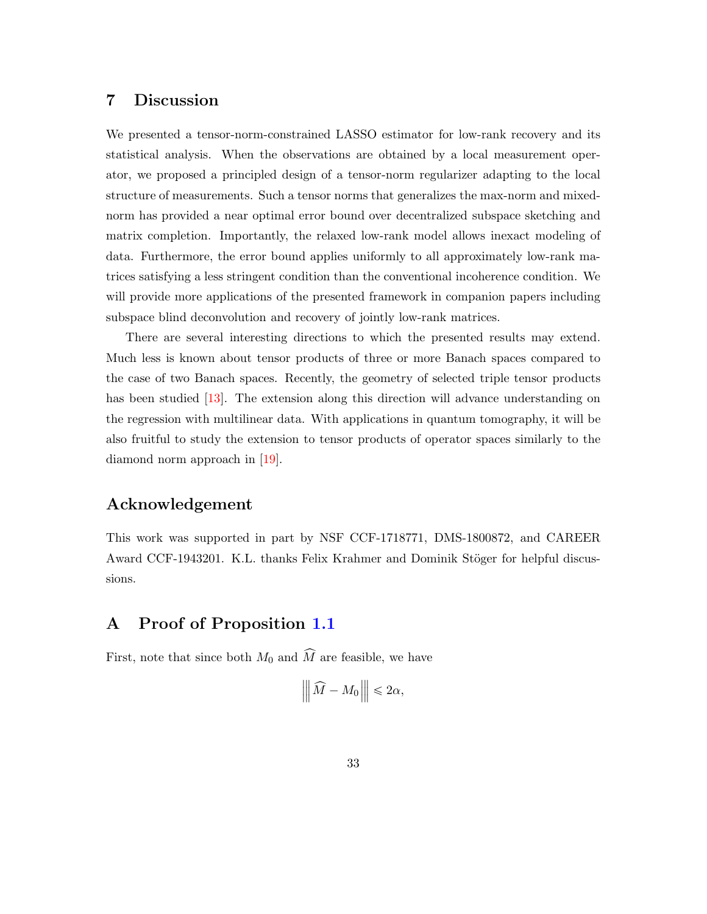## 7 Discussion

We presented a tensor-norm-constrained LASSO estimator for low-rank recovery and its statistical analysis. When the observations are obtained by a local measurement operator, we proposed a principled design of a tensor-norm regularizer adapting to the local structure of measurements. Such a tensor norms that generalizes the max-norm and mixednorm has provided a near optimal error bound over decentralized subspace sketching and matrix completion. Importantly, the relaxed low-rank model allows inexact modeling of data. Furthermore, the error bound applies uniformly to all approximately low-rank matrices satisfying a less stringent condition than the conventional incoherence condition. We will provide more applications of the presented framework in companion papers including subspace blind deconvolution and recovery of jointly low-rank matrices.

There are several interesting directions to which the presented results may extend. Much less is known about tensor products of three or more Banach spaces compared to the case of two Banach spaces. Recently, the geometry of selected triple tensor products has been studied [\[13](#page-35-9)]. The extension along this direction will advance understanding on the regression with multilinear data. With applications in quantum tomography, it will be also fruitful to study the extension to tensor products of operator spaces similarly to the diamond norm approach in [\[19\]](#page-35-2).

## Acknowledgement

This work was supported in part by NSF CCF-1718771, DMS-1800872, and CAREER Award CCF-1943201. K.L. thanks Felix Krahmer and Dominik Stöger for helpful discussions.

## <span id="page-32-0"></span>A Proof of Proposition [1.1](#page-3-2)

First, note that since both  $M_0$  and  $\widehat{M}$  are feasible, we have

$$
\left\| \left| \widehat{M} - M_0 \right| \right\| \leqslant 2\alpha,
$$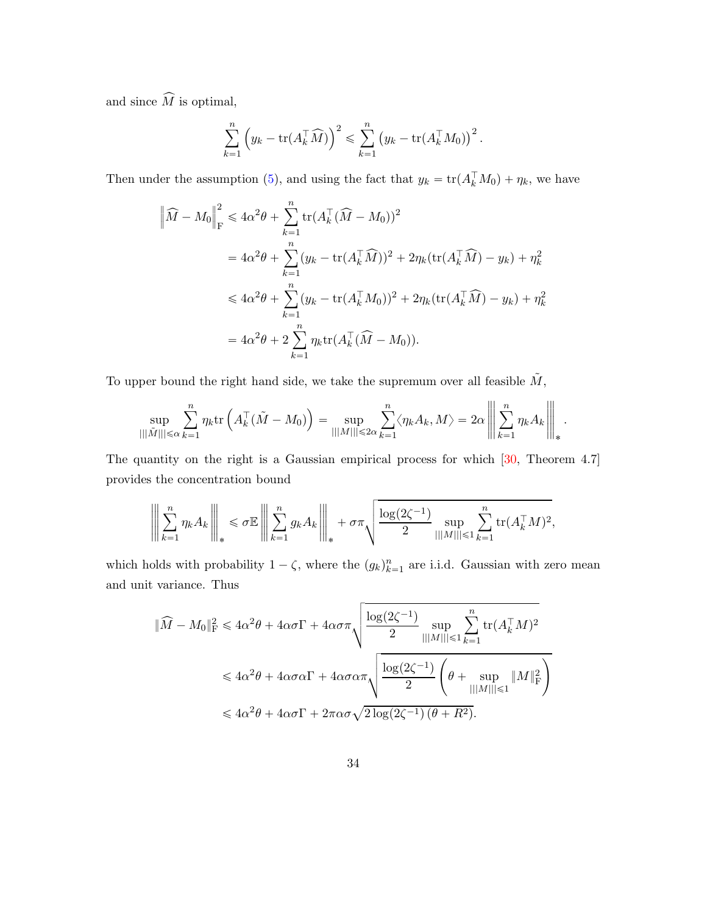and since  $\widehat{M}$  is optimal,

$$
\sum_{k=1}^n \left( y_k - \text{tr}(A_k^\top \widehat{M}) \right)^2 \leq \sum_{k=1}^n \left( y_k - \text{tr}(A_k^\top M_0) \right)^2.
$$

Then under the assumption [\(5\)](#page-3-0), and using the fact that  $y_k = \text{tr}(A_k^{\dagger} M_0) + \eta_k$ , we have

$$
\begin{split}\n\left\|\widehat{M} - M_0\right\|_{\rm F}^2 &\leq 4\alpha^2 \theta + \sum_{k=1}^n \text{tr}(A_k^\top (\widehat{M} - M_0))^2 \\
&= 4\alpha^2 \theta + \sum_{k=1}^n (y_k - \text{tr}(A_k^\top \widehat{M}))^2 + 2\eta_k (\text{tr}(A_k^\top \widehat{M}) - y_k) + \eta_k^2 \\
&\leq 4\alpha^2 \theta + \sum_{k=1}^n (y_k - \text{tr}(A_k^\top M_0))^2 + 2\eta_k (\text{tr}(A_k^\top \widehat{M}) - y_k) + \eta_k^2 \\
&= 4\alpha^2 \theta + 2 \sum_{k=1}^n \eta_k \text{tr}(A_k^\top (\widehat{M} - M_0)).\n\end{split}
$$

To upper bound the right hand side, we take the supremum over all feasible  $\tilde{M},$ 

$$
\sup_{|||\tilde{M}|| \leq \alpha} \sum_{k=1}^{n} \eta_k \text{tr}\left(A_k^{\top}(\tilde{M} - M_0)\right) = \sup_{|||M|| \leq 2\alpha} \sum_{k=1}^{n} \langle \eta_k A_k, M \rangle = 2\alpha \left\| \sum_{k=1}^{n} \eta_k A_k \right\|_{*}.
$$

The quantity on the right is a Gaussian empirical process for which [\[30](#page-36-6), Theorem 4.7] provides the concentration bound

$$
\left\| \left\| \sum_{k=1}^n \eta_k A_k \right\| \right\|_* \leq \sigma \mathbb{E} \left\| \sum_{k=1}^n g_k A_k \right\|_* + \sigma \tau \sqrt{\frac{\log(2\zeta^{-1})}{2} \sup_{|||M|| \leq 1} \sum_{k=1}^n \text{tr}(A_k^{\top} M)^2},
$$

which holds with probability  $1 - \zeta$ , where the  $(g_k)_{k=1}^n$  are i.i.d. Gaussian with zero mean and unit variance. Thus

$$
\|\widehat{M} - M_0\|_{\mathrm{F}}^2 \le 4\alpha^2 \theta + 4\alpha \sigma \Gamma + 4\alpha \sigma \pi \sqrt{\frac{\log(2\zeta^{-1})}{2} \sup_{|||M||| \le 1} \sum_{k=1}^n \text{tr}(A_k^{\top} M)^2}
$$
  

$$
\le 4\alpha^2 \theta + 4\alpha \sigma \alpha \Gamma + 4\alpha \sigma \alpha \pi \sqrt{\frac{\log(2\zeta^{-1})}{2} \left(\theta + \sup_{|||M||| \le 1} ||M||_{\mathrm{F}}^2\right)}
$$
  

$$
\le 4\alpha^2 \theta + 4\alpha \sigma \Gamma + 2\pi \alpha \sigma \sqrt{2 \log(2\zeta^{-1}) (\theta + R^2)}.
$$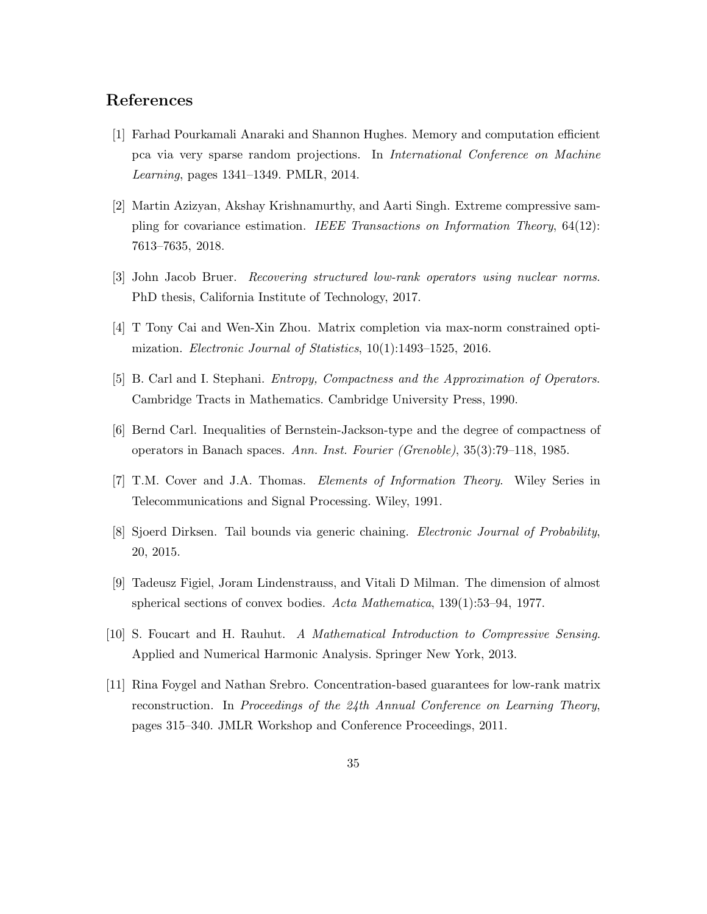## References

- <span id="page-34-4"></span>[1] Farhad Pourkamali Anaraki and Shannon Hughes. Memory and computation efficient pca via very sparse random projections. In *International Conference on Machine Learning*, pages 1341–1349. PMLR, 2014.
- <span id="page-34-5"></span>[2] Martin Azizyan, Akshay Krishnamurthy, and Aarti Singh. Extreme compressive sampling for covariance estimation. *IEEE Transactions on Information Theory*, 64(12): 7613–7635, 2018.
- <span id="page-34-3"></span>[3] John Jacob Bruer. *Recovering structured low-rank operators using nuclear norms*. PhD thesis, California Institute of Technology, 2017.
- <span id="page-34-0"></span>[4] T Tony Cai and Wen-Xin Zhou. Matrix completion via max-norm constrained optimization. *Electronic Journal of Statistics*, 10(1):1493–1525, 2016.
- <span id="page-34-6"></span>[5] B. Carl and I. Stephani. *Entropy, Compactness and the Approximation of Operators*. Cambridge Tracts in Mathematics. Cambridge University Press, 1990.
- <span id="page-34-2"></span>[6] Bernd Carl. Inequalities of Bernstein-Jackson-type and the degree of compactness of operators in Banach spaces. *Ann. Inst. Fourier (Grenoble)*, 35(3):79–118, 1985.
- <span id="page-34-10"></span>[7] T.M. Cover and J.A. Thomas. *Elements of Information Theory*. Wiley Series in Telecommunications and Signal Processing. Wiley, 1991.
- <span id="page-34-8"></span>[8] Sjoerd Dirksen. Tail bounds via generic chaining. *Electronic Journal of Probability*, 20, 2015.
- <span id="page-34-9"></span>[9] Tadeusz Figiel, Joram Lindenstrauss, and Vitali D Milman. The dimension of almost spherical sections of convex bodies. *Acta Mathematica*, 139(1):53–94, 1977.
- <span id="page-34-7"></span>[10] S. Foucart and H. Rauhut. *A Mathematical Introduction to Compressive Sensing*. Applied and Numerical Harmonic Analysis. Springer New York, 2013.
- <span id="page-34-1"></span>[11] Rina Foygel and Nathan Srebro. Concentration-based guarantees for low-rank matrix reconstruction. In *Proceedings of the 24th Annual Conference on Learning Theory*, pages 315–340. JMLR Workshop and Conference Proceedings, 2011.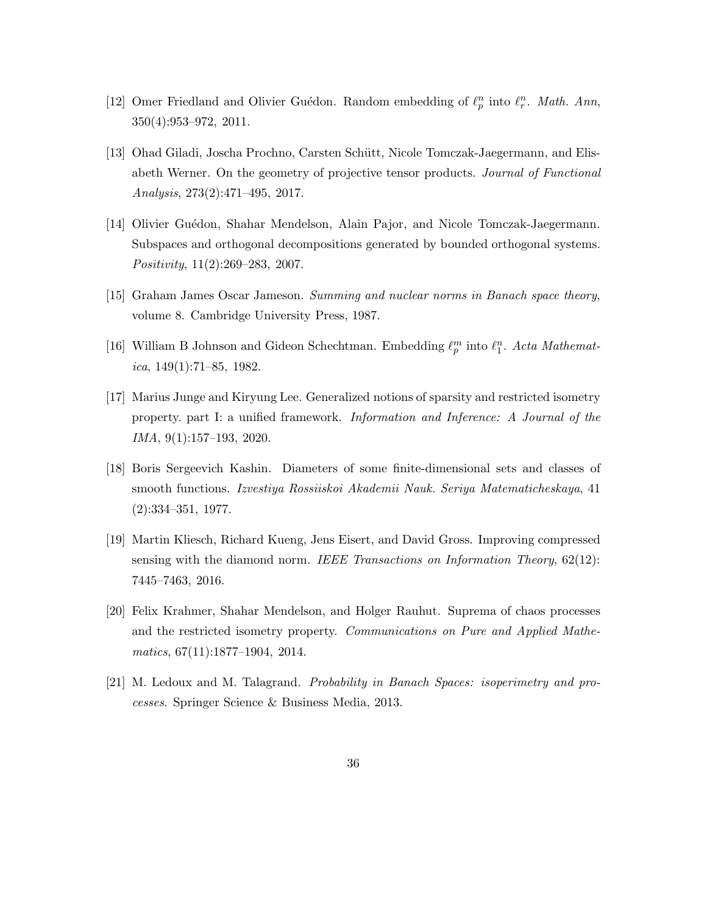- <span id="page-35-5"></span>[12] Omer Friedland and Olivier Guédon. Random embedding of  $\ell_p^n$  into  $\ell_r^n$ . Math. Ann, 350(4):953–972, 2011.
- <span id="page-35-9"></span>[13] Ohad Giladi, Joscha Prochno, Carsten Schütt, Nicole Tomczak-Jaegermann, and Elisabeth Werner. On the geometry of projective tensor products. *Journal of Functional Analysis*, 273(2):471–495, 2017.
- <span id="page-35-6"></span>[14] Olivier Guédon, Shahar Mendelson, Alain Pajor, and Nicole Tomczak-Jaegermann. Subspaces and orthogonal decompositions generated by bounded orthogonal systems. *Positivity*, 11(2):269–283, 2007.
- <span id="page-35-1"></span>[15] Graham James Oscar Jameson. *Summing and nuclear norms in Banach space theory*, volume 8. Cambridge University Press, 1987.
- <span id="page-35-7"></span>[16] William B Johnson and Gideon Schechtman. Embedding  $\ell_p^m$  into  $\ell_1^n$ . Acta Mathemat*ica*, 149(1):71–85, 1982.
- <span id="page-35-0"></span>[17] Marius Junge and Kiryung Lee. Generalized notions of sparsity and restricted isometry property. part I: a unified framework. *Information and Inference: A Journal of the IMA*, 9(1):157–193, 2020.
- <span id="page-35-8"></span>[18] Boris Sergeevich Kashin. Diameters of some finite-dimensional sets and classes of smooth functions. *Izvestiya Rossiiskoi Akademii Nauk. Seriya Matematicheskaya*, 41 (2):334–351, 1977.
- <span id="page-35-2"></span>[19] Martin Kliesch, Richard Kueng, Jens Eisert, and David Gross. Improving compressed sensing with the diamond norm. *IEEE Transactions on Information Theory*, 62(12): 7445–7463, 2016.
- <span id="page-35-3"></span>[20] Felix Krahmer, Shahar Mendelson, and Holger Rauhut. Suprema of chaos processes and the restricted isometry property. *Communications on Pure and Applied Mathematics*, 67(11):1877–1904, 2014.
- <span id="page-35-4"></span>[21] M. Ledoux and M. Talagrand. *Probability in Banach Spaces: isoperimetry and processes*. Springer Science & Business Media, 2013.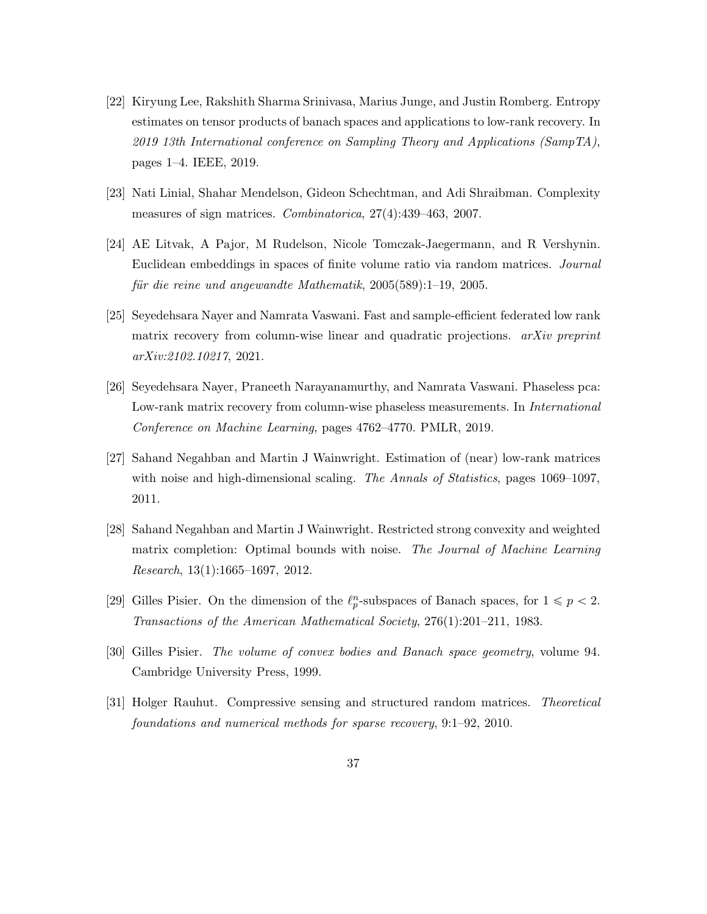- <span id="page-36-0"></span>[22] Kiryung Lee, Rakshith Sharma Srinivasa, Marius Junge, and Justin Romberg. Entropy estimates on tensor products of banach spaces and applications to low-rank recovery. In *2019 13th International conference on Sampling Theory and Applications (SampTA)*, pages 1–4. IEEE, 2019.
- <span id="page-36-2"></span>[23] Nati Linial, Shahar Mendelson, Gideon Schechtman, and Adi Shraibman. Complexity measures of sign matrices. *Combinatorica*, 27(4):439–463, 2007.
- <span id="page-36-8"></span>[24] AE Litvak, A Pajor, M Rudelson, Nicole Tomczak-Jaegermann, and R Vershynin. Euclidean embeddings in spaces of finite volume ratio via random matrices. *Journal f¨ur die reine und angewandte Mathematik*, 2005(589):1–19, 2005.
- <span id="page-36-3"></span>[25] Seyedehsara Nayer and Namrata Vaswani. Fast and sample-efficient federated low rank matrix recovery from column-wise linear and quadratic projections. *arXiv preprint arXiv:2102.10217*, 2021.
- <span id="page-36-4"></span>[26] Seyedehsara Nayer, Praneeth Narayanamurthy, and Namrata Vaswani. Phaseless pca: Low-rank matrix recovery from column-wise phaseless measurements. In *International Conference on Machine Learning*, pages 4762–4770. PMLR, 2019.
- <span id="page-36-5"></span>[27] Sahand Negahban and Martin J Wainwright. Estimation of (near) low-rank matrices with noise and high-dimensional scaling. *The Annals of Statistics*, pages 1069–1097, 2011.
- <span id="page-36-1"></span>[28] Sahand Negahban and Martin J Wainwright. Restricted strong convexity and weighted matrix completion: Optimal bounds with noise. *The Journal of Machine Learning Research*, 13(1):1665–1697, 2012.
- <span id="page-36-9"></span>[29] Gilles Pisier. On the dimension of the  $\ell_p^n$ -subspaces of Banach spaces, for  $1 \leq p < 2$ . *Transactions of the American Mathematical Society*, 276(1):201–211, 1983.
- <span id="page-36-6"></span>[30] Gilles Pisier. *The volume of convex bodies and Banach space geometry*, volume 94. Cambridge University Press, 1999.
- <span id="page-36-7"></span>[31] Holger Rauhut. Compressive sensing and structured random matrices. *Theoretical foundations and numerical methods for sparse recovery*, 9:1–92, 2010.